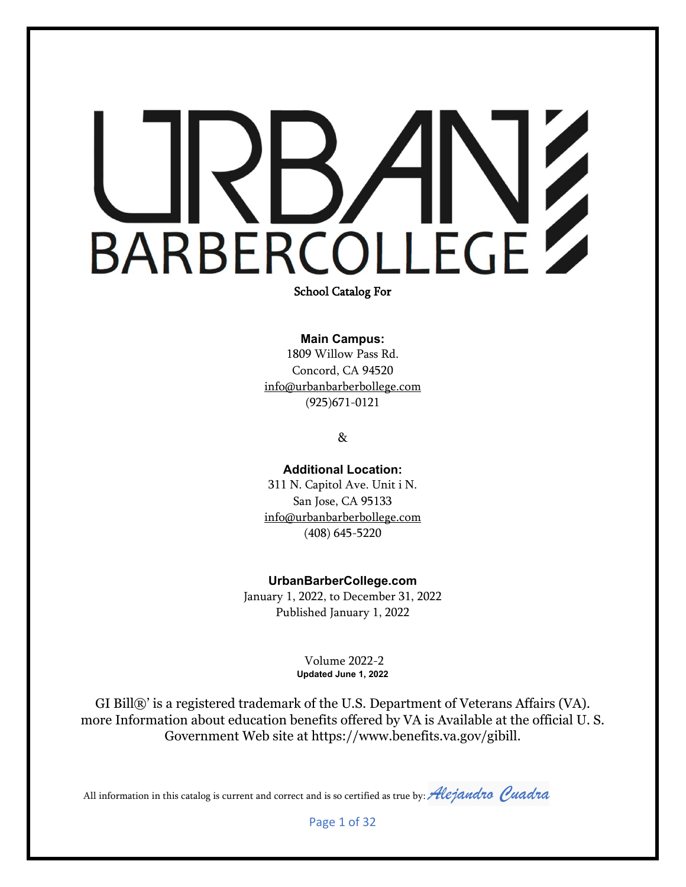School Catalog For

**Main Campus:**

1809 Willow Pass Rd. Concord, CA 94520 info@urbanbarberbollege.com (925)671-0121

&

**Additional Location:**  311 N. Capitol Ave. Unit i N. San Jose, CA 95133 info@urbanbarberbollege.com [\(408\) 645-5220](https://www.google.com/search?client=safari&rls=en&q=urban+barber+college+San+jose&ie=UTF-8&oe=UTF-8)

**UrbanBarberCollege.com** January 1, 2022, to December 31, 2022

Published January 1, 2022

Volume 2022-2 **Updated June 1, 2022**

GI Bill®' is a registered trademark of the U.S. Department of Veterans Affairs (VA). more Information about education benefits offered by VA is Available at the official U. S. Government Web site at https://www.benefits.va.gov/gibill.

All information in this catalog is current and correct and is so certified as true by: *Alejandro Quadra* 

Page 1 of 32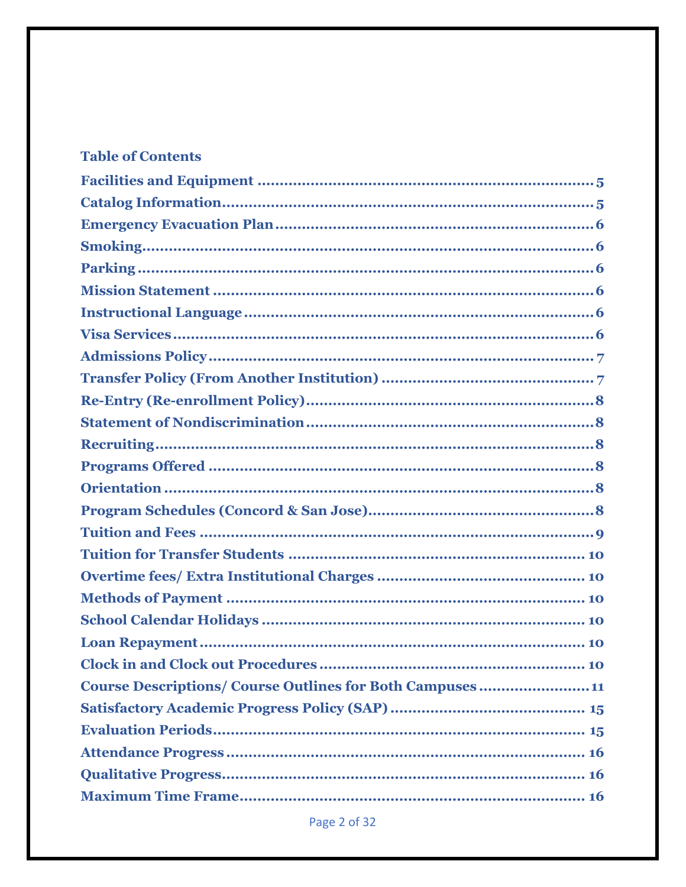# **Table of Contents**

| <b>Course Descriptions/Course Outlines for Both Campuses11</b> |
|----------------------------------------------------------------|
|                                                                |
|                                                                |
|                                                                |
|                                                                |
|                                                                |
|                                                                |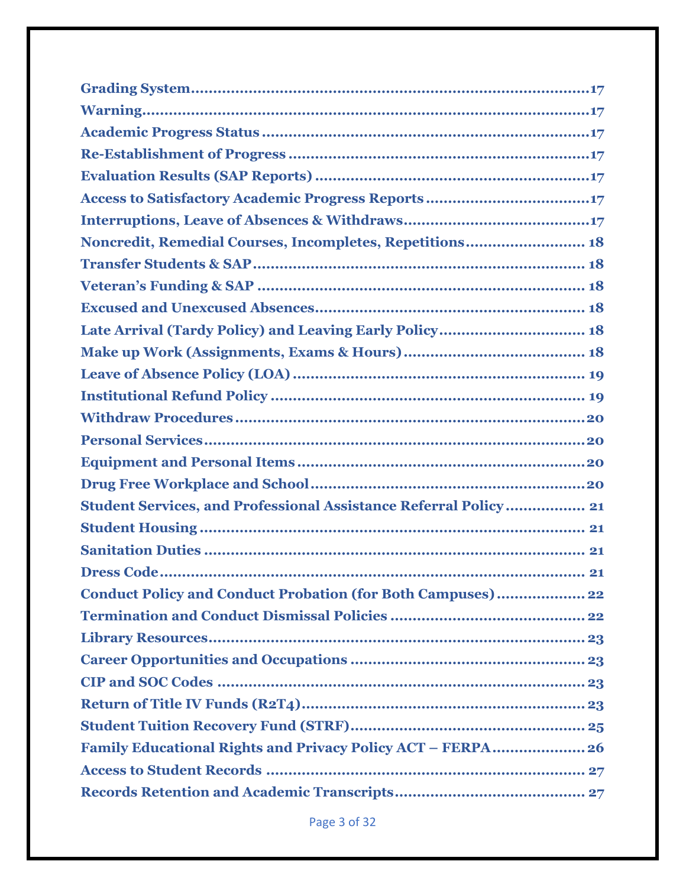| Noncredit, Remedial Courses, Incompletes, Repetitions 18                 |
|--------------------------------------------------------------------------|
|                                                                          |
|                                                                          |
|                                                                          |
| Late Arrival (Tardy Policy) and Leaving Early Policy 18                  |
|                                                                          |
|                                                                          |
|                                                                          |
|                                                                          |
|                                                                          |
|                                                                          |
|                                                                          |
| <b>Student Services, and Professional Assistance Referral Policy  21</b> |
|                                                                          |
|                                                                          |
|                                                                          |
| <b>Conduct Policy and Conduct Probation (for Both Campuses) 22</b>       |
|                                                                          |
|                                                                          |
|                                                                          |
|                                                                          |
|                                                                          |
|                                                                          |
| Family Educational Rights and Privacy Policy ACT - FERPA 26              |
|                                                                          |
|                                                                          |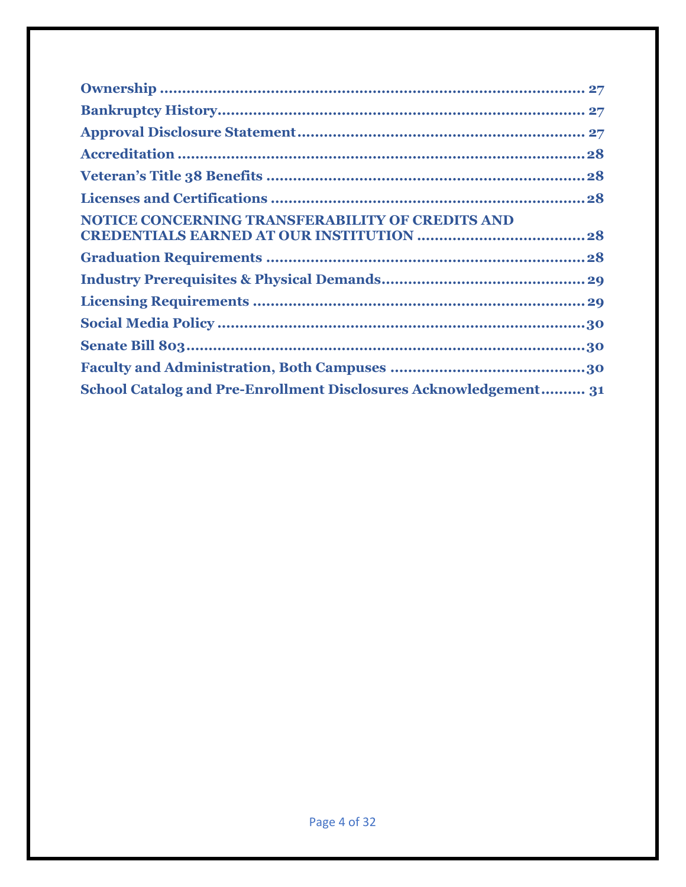| NOTICE CONCERNING TRANSFERABILITY OF CREDITS AND                 |
|------------------------------------------------------------------|
|                                                                  |
|                                                                  |
|                                                                  |
|                                                                  |
|                                                                  |
|                                                                  |
| School Catalog and Pre-Enrollment Disclosures Acknowledgement 31 |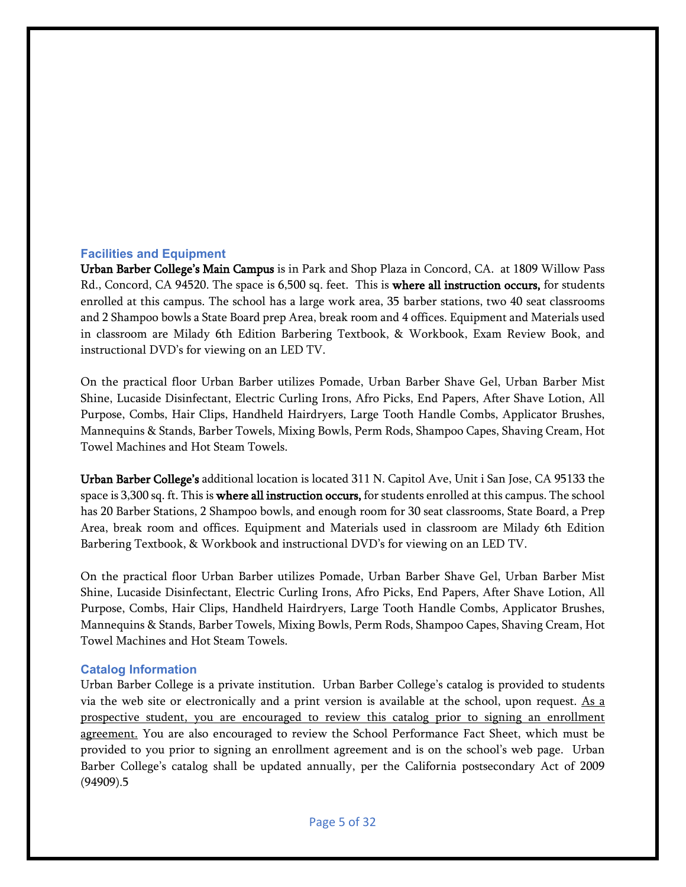#### <span id="page-4-0"></span>**Facilities and Equipment**

Urban Barber College's Main Campus is in Park and Shop Plaza in Concord, CA. at 1809 Willow Pass Rd., Concord, CA 94520. The space is 6,500 sq. feet. This is where all instruction occurs, for students enrolled at this campus. The school has a large work area, 35 barber stations, two 40 seat classrooms and 2 Shampoo bowls a State Board prep Area, break room and 4 offices. Equipment and Materials used in classroom are Milady 6th Edition Barbering Textbook, & Workbook, Exam Review Book, and instructional DVD's for viewing on an LED TV.

On the practical floor Urban Barber utilizes Pomade, Urban Barber Shave Gel, Urban Barber Mist Shine, Lucaside Disinfectant, Electric Curling Irons, Afro Picks, End Papers, After Shave Lotion, All Purpose, Combs, Hair Clips, Handheld Hairdryers, Large Tooth Handle Combs, Applicator Brushes, Mannequins & Stands, Barber Towels, Mixing Bowls, Perm Rods, Shampoo Capes, Shaving Cream, Hot Towel Machines and Hot Steam Towels.

Urban Barber College's additional location is located 311 N. Capitol Ave, Unit i San Jose, CA 95133 the space is 3,300 sq. ft. This is where all instruction occurs, for students enrolled at this campus. The school has 20 Barber Stations, 2 Shampoo bowls, and enough room for 30 seat classrooms, State Board, a Prep Area, break room and offices. Equipment and Materials used in classroom are Milady 6th Edition Barbering Textbook, & Workbook and instructional DVD's for viewing on an LED TV.

On the practical floor Urban Barber utilizes Pomade, Urban Barber Shave Gel, Urban Barber Mist Shine, Lucaside Disinfectant, Electric Curling Irons, Afro Picks, End Papers, After Shave Lotion, All Purpose, Combs, Hair Clips, Handheld Hairdryers, Large Tooth Handle Combs, Applicator Brushes, Mannequins & Stands, Barber Towels, Mixing Bowls, Perm Rods, Shampoo Capes, Shaving Cream, Hot Towel Machines and Hot Steam Towels.

#### <span id="page-4-1"></span>**Catalog Information**

Urban Barber College is a private institution. Urban Barber College's catalog is provided to students via the web site or electronically and a print version is available at the school, upon request. As a prospective student, you are encouraged to review this catalog prior to signing an enrollment agreement. You are also encouraged to review the School Performance Fact Sheet, which must be provided to you prior to signing an enrollment agreement and is on the school's web page. Urban Barber College's catalog shall be updated annually, per the California postsecondary Act of 2009 (94909).5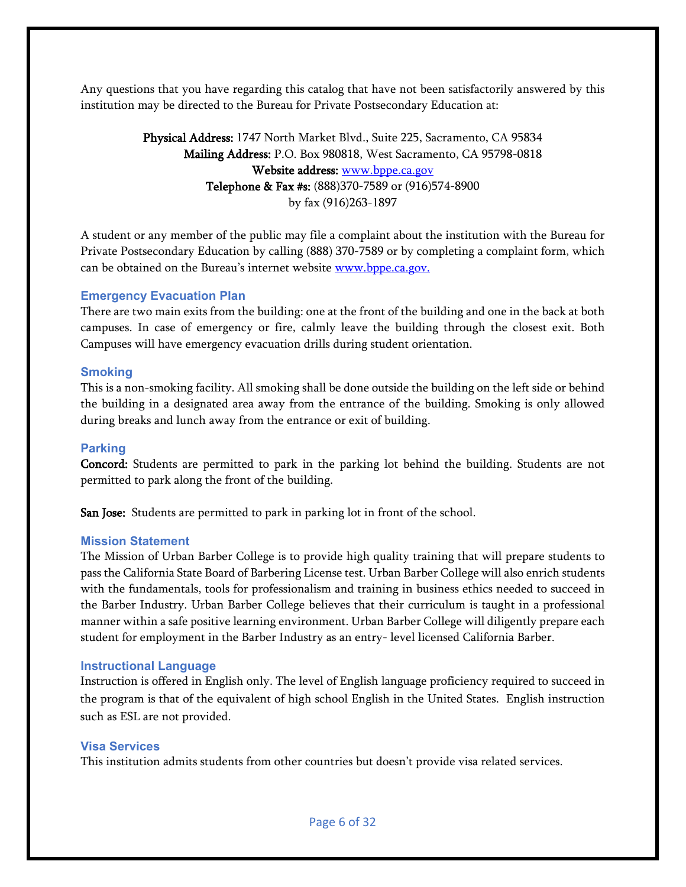Any questions that you have regarding this catalog that have not been satisfactorily answered by this institution may be directed to the Bureau for Private Postsecondary Education at:

# Physical Address: 1747 North Market Blvd., Suite 225, Sacramento, CA 95834 Mailing Address: P.O. Box 980818, West Sacramento, CA 95798-0818 Website address: [www.bppe.ca.gov](http://www.bppe.ca.gov/) Telephone & Fax #s: (888)370-7589 or (916)574-8900 by fax (916)263-1897

A student or any member of the public may file a complaint about the institution with the Bureau for Private Postsecondary Education by calling (888) 370-7589 or by completing a complaint form, which can be obtained on the Bureau's internet website [www.bppe.ca.gov.](http://www.bppe.ca.gov/)

#### <span id="page-5-0"></span>**Emergency Evacuation Plan**

There are two main exits from the building: one at the front of the building and one in the back at both campuses. In case of emergency or fire, calmly leave the building through the closest exit. Both Campuses will have emergency evacuation drills during student orientation.

# <span id="page-5-1"></span>**Smoking**

This is a non-smoking facility. All smoking shall be done outside the building on the left side or behind the building in a designated area away from the entrance of the building. Smoking is only allowed during breaks and lunch away from the entrance or exit of building.

# <span id="page-5-2"></span>**Parking**

Concord: Students are permitted to park in the parking lot behind the building. Students are not permitted to park along the front of the building.

San Jose: Students are permitted to park in parking lot in front of the school.

#### <span id="page-5-3"></span>**Mission Statement**

The Mission of Urban Barber College is to provide high quality training that will prepare students to pass the California State Board of Barbering License test. Urban Barber College will also enrich students with the fundamentals, tools for professionalism and training in business ethics needed to succeed in the Barber Industry. Urban Barber College believes that their curriculum is taught in a professional manner within a safe positive learning environment. Urban Barber College will diligently prepare each student for employment in the Barber Industry as an entry- level licensed California Barber.

#### <span id="page-5-4"></span>**Instructional Language**

Instruction is offered in English only. The level of English language proficiency required to succeed in the program is that of the equivalent of high school English in the United States. English instruction such as ESL are not provided.

# <span id="page-5-5"></span>**Visa Services**

This institution admits students from other countries but doesn't provide visa related services.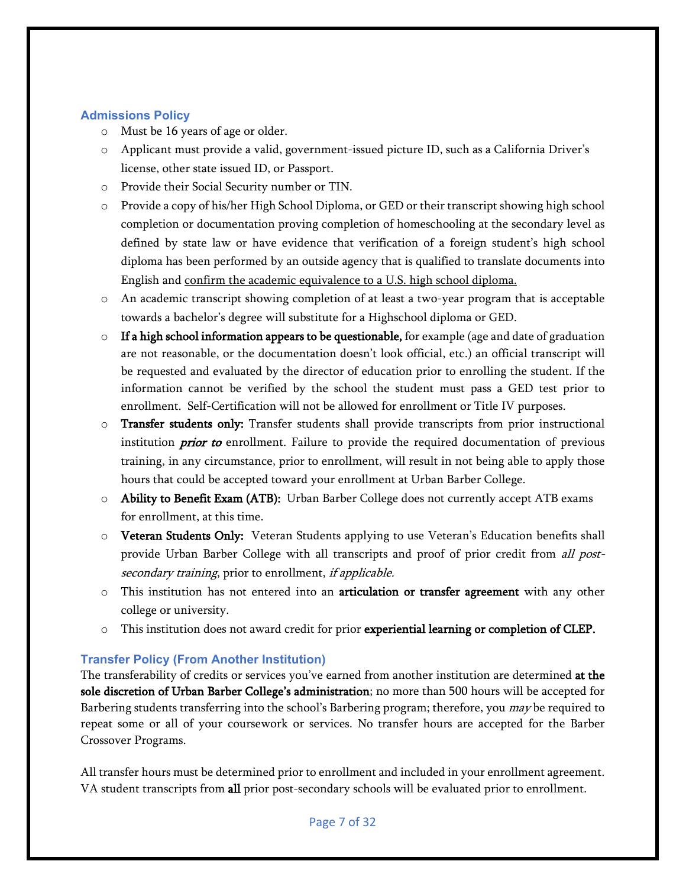# <span id="page-6-0"></span>**Admissions Policy**

- o Must be 16 years of age or older.
- o Applicant must provide a valid, government-issued picture ID, such as a California Driver's license, other state issued ID, or Passport.
- o Provide their Social Security number or TIN.
- o Provide a copy of his/her High School Diploma, or GED or their transcript showing high school completion or documentation proving completion of homeschooling at the secondary level as defined by state law or have evidence that verification of a foreign student's high school diploma has been performed by an outside agency that is qualified to translate documents into English and confirm the academic equivalence to a U.S. high school diploma.
- o An academic transcript showing completion of at least a two-year program that is acceptable towards a bachelor's degree will substitute for a Highschool diploma or GED.
- $\circ$  If a high school information appears to be questionable, for example (age and date of graduation are not reasonable, or the documentation doesn't look official, etc.) an official transcript will be requested and evaluated by the director of education prior to enrolling the student. If the information cannot be verified by the school the student must pass a GED test prior to enrollment. Self-Certification will not be allowed for enrollment or Title IV purposes.
- $\circ$  Transfer students only: Transfer students shall provide transcripts from prior instructional institution *prior to* enrollment. Failure to provide the required documentation of previous training, in any circumstance, prior to enrollment, will result in not being able to apply those hours that could be accepted toward your enrollment at Urban Barber College.
- o Ability to Benefit Exam (ATB): Urban Barber College does not currently accept ATB exams for enrollment, at this time.
- o Veteran Students Only: Veteran Students applying to use Veteran's Education benefits shall provide Urban Barber College with all transcripts and proof of prior credit from all postsecondary training, prior to enrollment, if applicable.
- $\circ$  This institution has not entered into an articulation or transfer agreement with any other college or university.
- $\circ$  This institution does not award credit for prior **experiential learning or completion of CLEP.**

# <span id="page-6-1"></span>**Transfer Policy (From Another Institution)**

The transferability of credits or services you've earned from another institution are determined at the sole discretion of Urban Barber College's administration; no more than 500 hours will be accepted for Barbering students transferring into the school's Barbering program; therefore, you *may* be required to repeat some or all of your coursework or services. No transfer hours are accepted for the Barber Crossover Programs.

All transfer hours must be determined prior to enrollment and included in your enrollment agreement. VA student transcripts from all prior post-secondary schools will be evaluated prior to enrollment.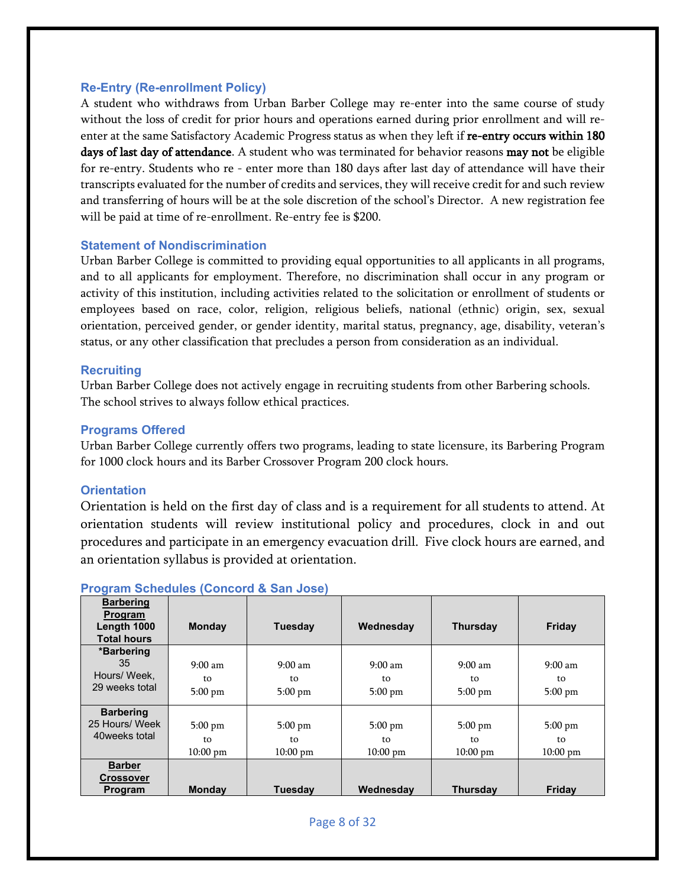#### <span id="page-7-0"></span>**Re-Entry (Re-enrollment Policy)**

A student who withdraws from Urban Barber College may re-enter into the same course of study without the loss of credit for prior hours and operations earned during prior enrollment and will reenter at the same Satisfactory Academic Progress status as when they left if re-entry occurs within 180 days of last day of attendance. A student who was terminated for behavior reasons may not be eligible for re-entry. Students who re - enter more than 180 days after last day of attendance will have their transcripts evaluated for the number of credits and services, they will receive credit for and such review and transferring of hours will be at the sole discretion of the school's Director. A new registration fee will be paid at time of re-enrollment. Re-entry fee is \$200.

#### <span id="page-7-1"></span>**Statement of Nondiscrimination**

Urban Barber College is committed to providing equal opportunities to all applicants in all programs, and to all applicants for employment. Therefore, no discrimination shall occur in any program or activity of this institution, including activities related to the solicitation or enrollment of students or employees based on race, color, religion, religious beliefs, national (ethnic) origin, sex, sexual orientation, perceived gender, or gender identity, marital status, pregnancy, age, disability, veteran's status, or any other classification that precludes a person from consideration as an individual.

#### <span id="page-7-2"></span>**Recruiting**

Urban Barber College does not actively engage in recruiting students from other Barbering schools. The school strives to always follow ethical practices.

#### <span id="page-7-3"></span>**Programs Offered**

Urban Barber College currently offers two programs, leading to state licensure, its Barbering Program for 1000 clock hours and its Barber Crossover Program 200 clock hours.

#### <span id="page-7-4"></span>**Orientation**

Orientation is held on the first day of class and is a requirement for all students to attend. At orientation students will review institutional policy and procedures, clock in and out procedures and participate in an emergency evacuation drill. Five clock hours are earned, and an orientation syllabus is provided at orientation.

| <b>Barbering</b><br>Program<br>Length 1000<br><b>Total hours</b> | <b>Monday</b>                                | <b>Tuesday</b>                        | Wednesday                             | <b>Thursday</b>                       | Friday                                |
|------------------------------------------------------------------|----------------------------------------------|---------------------------------------|---------------------------------------|---------------------------------------|---------------------------------------|
| *Barbering<br>35<br>Hours/ Week.<br>29 weeks total               | $9:00 \text{ am}$<br>to<br>$5:00 \text{ pm}$ | $9:00 \text{ am}$<br>to<br>$5:00$ pm  | $9:00 \text{ am}$<br>to<br>$5:00$ pm  | $9:00 \text{ am}$<br>to<br>$5:00$ pm  | $9:00 \text{ am}$<br>to<br>$5:00$ pm  |
| <b>Barbering</b><br>25 Hours/ Week<br>40 weeks total             | $5:00$ pm<br>to<br>$10:00 \text{ pm}$        | $5:00$ pm<br>to<br>$10:00 \text{ pm}$ | $5:00$ pm<br>to<br>$10:00 \text{ pm}$ | $5:00$ pm<br>to<br>$10:00 \text{ pm}$ | $5:00$ pm<br>to<br>$10:00 \text{ pm}$ |
| <b>Barber</b><br><b>Crossover</b><br>Program                     | <b>Monday</b>                                | <b>Tuesday</b>                        | Wednesdav                             | <b>Thursday</b>                       | Friday                                |

# <span id="page-7-5"></span>**Program Schedules (Concord & San Jose)**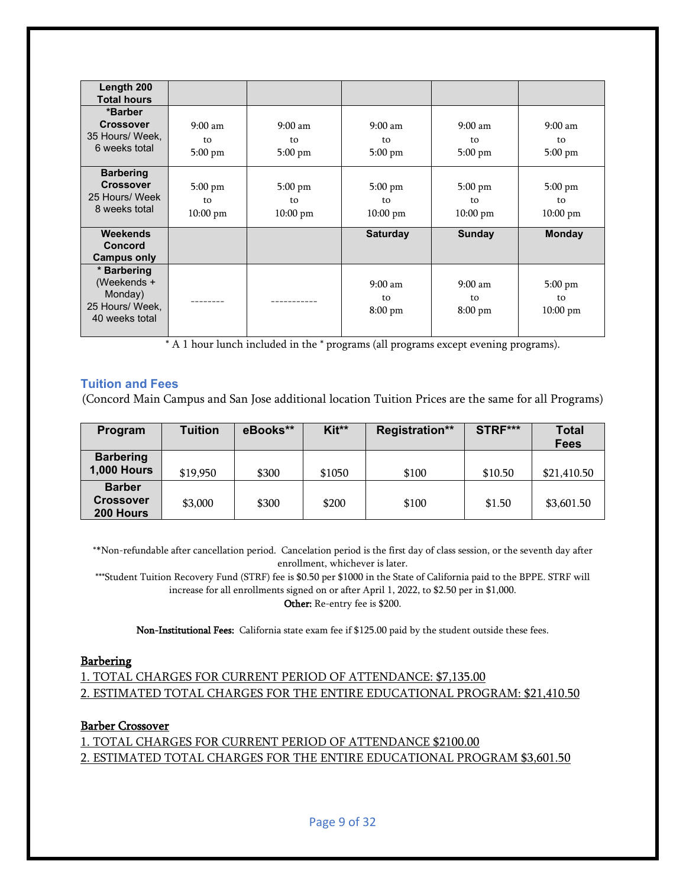| Length 200                                                                 |                                       |                                       |                                              |                                               |                                               |
|----------------------------------------------------------------------------|---------------------------------------|---------------------------------------|----------------------------------------------|-----------------------------------------------|-----------------------------------------------|
| <b>Total hours</b>                                                         |                                       |                                       |                                              |                                               |                                               |
| *Barber<br><b>Crossover</b><br>35 Hours/ Week,<br>6 weeks total            | $9:00$ am<br>to<br>$5:00$ pm          | $9:00$ am<br>to<br>$5:00$ pm          | $9:00 \text{ am}$<br>to<br>$5:00$ pm         | $9:00 \text{ am}$<br>to<br>$5:00 \text{ pm}$  | $9:00 \text{ am}$<br>to<br>$5:00 \text{ pm}$  |
| <b>Barbering</b><br><b>Crossover</b><br>25 Hours/ Week<br>8 weeks total    | $5:00$ pm<br>to<br>$10:00 \text{ pm}$ | $5:00$ pm<br>to<br>$10:00 \text{ pm}$ | $5:00$ pm<br>to<br>$10:00 \text{ pm}$        | $5:00 \text{ pm}$<br>to<br>$10:00 \text{ pm}$ | $5:00 \text{ pm}$<br>to<br>$10:00 \text{ pm}$ |
| Weekends<br>Concord<br>Campus only                                         |                                       |                                       | <b>Saturday</b>                              | <b>Sunday</b>                                 | <b>Monday</b>                                 |
| * Barbering<br>(Weekends +<br>Monday)<br>25 Hours/ Week,<br>40 weeks total |                                       |                                       | $9:00 \text{ am}$<br>to<br>$8:00 \text{ pm}$ | $9:00 \text{ am}$<br>to<br>$8:00 \text{ pm}$  | $5:00 \text{ pm}$<br>to<br>$10:00 \text{ pm}$ |

\* A 1 hour lunch included in the \* programs (all programs except evening programs).

#### <span id="page-8-0"></span>**Tuition and Fees**

(Concord Main Campus and San Jose additional location Tuition Prices are the same for all Programs)

| Program                                        | Tuition  | eBooks** | Kit**  | <b>Registration**</b> | STRF*** | <b>Total</b><br><b>Fees</b> |
|------------------------------------------------|----------|----------|--------|-----------------------|---------|-----------------------------|
| <b>Barbering</b><br><b>1,000 Hours</b>         | \$19,950 | \$300    | \$1050 | \$100                 | \$10.50 | \$21,410.50                 |
| <b>Barber</b><br><b>Crossover</b><br>200 Hours | \$3,000  | \$300    | \$200  | \$100                 | \$1.50  | \$3,601.50                  |

\*\*Non-refundable after cancellation period. Cancelation period is the first day of class session, or the seventh day after enrollment, whichever is later.

\*\*\*Student Tuition Recovery Fund (STRF) fee is \$0.50 per \$1000 in the State of California paid to the BPPE. STRF will increase for all enrollments signed on or after April 1, 2022, to \$2.50 per in \$1,000.

Other: Re-entry fee is \$200.

Non-Institutional Fees: California state exam fee if \$125.00 paid by the student outside these fees.

#### **Barbering**

1. TOTAL CHARGES FOR CURRENT PERIOD OF ATTENDANCE: \$7,135.00 2. ESTIMATED TOTAL CHARGES FOR THE ENTIRE EDUCATIONAL PROGRAM: \$21,410.50

#### Barber Crossover

1. TOTAL CHARGES FOR CURRENT PERIOD OF ATTENDANCE \$2100.00 2. ESTIMATED TOTAL CHARGES FOR THE ENTIRE EDUCATIONAL PROGRAM \$3,601.50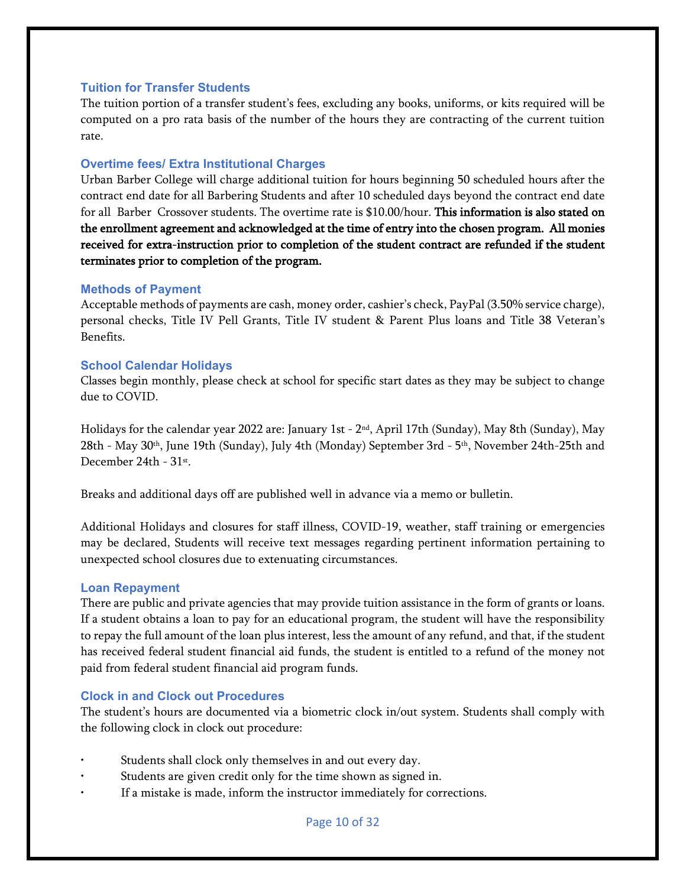#### <span id="page-9-0"></span>**Tuition for Transfer Students**

The tuition portion of a transfer student's fees, excluding any books, uniforms, or kits required will be computed on a pro rata basis of the number of the hours they are contracting of the current tuition rate.

#### <span id="page-9-1"></span>**Overtime fees/ Extra Institutional Charges**

Urban Barber College will charge additional tuition for hours beginning 50 scheduled hours after the contract end date for all Barbering Students and after 10 scheduled days beyond the contract end date for all Barber Crossover students. The overtime rate is \$10.00/hour. This information is also stated on the enrollment agreement and acknowledged at the time of entry into the chosen program. All monies received for extra-instruction prior to completion of the student contract are refunded if the student terminates prior to completion of the program.

#### <span id="page-9-2"></span>**Methods of Payment**

Acceptable methods of payments are cash, money order, cashier's check, PayPal (3.50% service charge), personal checks, Title IV Pell Grants, Title IV student & Parent Plus loans and Title 38 Veteran's Benefits.

#### <span id="page-9-3"></span>**School Calendar Holidays**

Classes begin monthly, please check at school for specific start dates as they may be subject to change due to COVID.

Holidays for the calendar year 2022 are: January 1st - 2nd, April 17th (Sunday), May 8th (Sunday), May 28th - May 30<sup>th</sup>, June 19th (Sunday), July 4th (Monday) September 3rd - 5<sup>th</sup>, November 24th-25th and December 24th - 31st.

Breaks and additional days off are published well in advance via a memo or bulletin.

Additional Holidays and closures for staff illness, COVID-19, weather, staff training or emergencies may be declared, Students will receive text messages regarding pertinent information pertaining to unexpected school closures due to extenuating circumstances.

#### <span id="page-9-4"></span>**Loan Repayment**

There are public and private agencies that may provide tuition assistance in the form of grants or loans. If a student obtains a loan to pay for an educational program, the student will have the responsibility to repay the full amount of the loan plus interest, less the amount of any refund, and that, if the student has received federal student financial aid funds, the student is entitled to a refund of the money not paid from federal student financial aid program funds.

#### <span id="page-9-5"></span>**Clock in and Clock out Procedures**

The student's hours are documented via a biometric clock in/out system. Students shall comply with the following clock in clock out procedure:

- Students shall clock only themselves in and out every day.
- Students are given credit only for the time shown as signed in.
- If a mistake is made, inform the instructor immediately for corrections.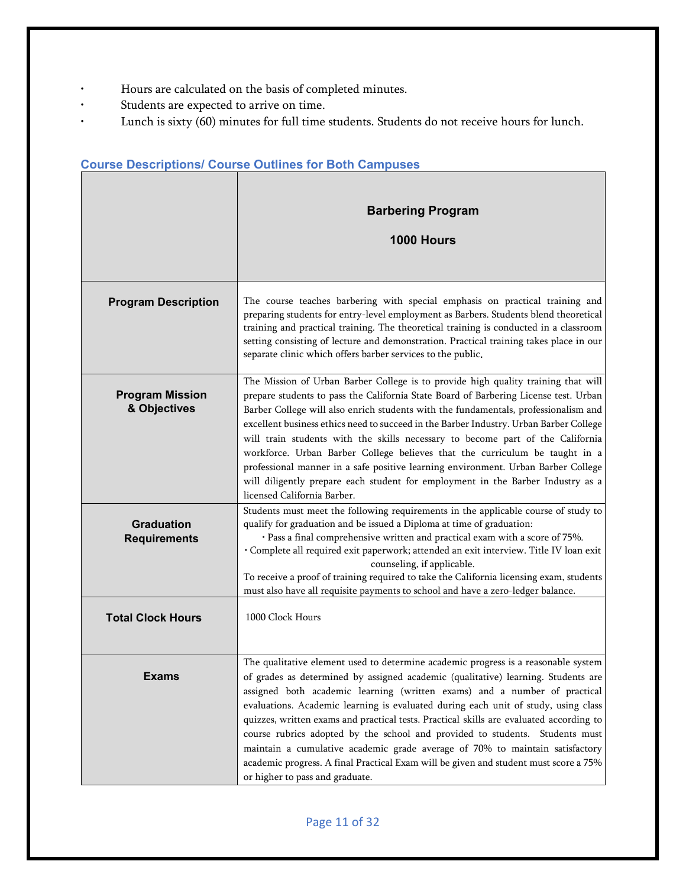- Hours are calculated on the basis of completed minutes.
- Students are expected to arrive on time.
- Lunch is sixty (60) minutes for full time students. Students do not receive hours for lunch.

|                                          | <b>Barbering Program</b><br>1000 Hours                                                                                                                                                                                                                                                                                                                                                                                                                                                                                                                                                                                                                                                                                             |
|------------------------------------------|------------------------------------------------------------------------------------------------------------------------------------------------------------------------------------------------------------------------------------------------------------------------------------------------------------------------------------------------------------------------------------------------------------------------------------------------------------------------------------------------------------------------------------------------------------------------------------------------------------------------------------------------------------------------------------------------------------------------------------|
| <b>Program Description</b>               | The course teaches barbering with special emphasis on practical training and<br>preparing students for entry-level employment as Barbers. Students blend theoretical<br>training and practical training. The theoretical training is conducted in a classroom<br>setting consisting of lecture and demonstration. Practical training takes place in our<br>separate clinic which offers barber services to the public.                                                                                                                                                                                                                                                                                                             |
| <b>Program Mission</b><br>& Objectives   | The Mission of Urban Barber College is to provide high quality training that will<br>prepare students to pass the California State Board of Barbering License test. Urban<br>Barber College will also enrich students with the fundamentals, professionalism and<br>excellent business ethics need to succeed in the Barber Industry. Urban Barber College<br>will train students with the skills necessary to become part of the California<br>workforce. Urban Barber College believes that the curriculum be taught in a<br>professional manner in a safe positive learning environment. Urban Barber College<br>will diligently prepare each student for employment in the Barber Industry as a<br>licensed California Barber. |
| <b>Graduation</b><br><b>Requirements</b> | Students must meet the following requirements in the applicable course of study to<br>qualify for graduation and be issued a Diploma at time of graduation:<br>· Pass a final comprehensive written and practical exam with a score of 75%.<br>· Complete all required exit paperwork; attended an exit interview. Title IV loan exit<br>counseling, if applicable.<br>To receive a proof of training required to take the California licensing exam, students<br>must also have all requisite payments to school and have a zero-ledger balance.                                                                                                                                                                                  |
| <b>Total Clock Hours</b>                 | 1000 Clock Hours                                                                                                                                                                                                                                                                                                                                                                                                                                                                                                                                                                                                                                                                                                                   |
| <b>Exams</b>                             | The qualitative element used to determine academic progress is a reasonable system<br>of grades as determined by assigned academic (qualitative) learning. Students are<br>assigned both academic learning (written exams) and a number of practical<br>evaluations. Academic learning is evaluated during each unit of study, using class<br>quizzes, written exams and practical tests. Practical skills are evaluated according to<br>course rubrics adopted by the school and provided to students. Students must<br>maintain a cumulative academic grade average of 70% to maintain satisfactory<br>academic progress. A final Practical Exam will be given and student must score a 75%<br>or higher to pass and graduate.   |

# <span id="page-10-0"></span>**Course Descriptions/ Course Outlines for Both Campuses**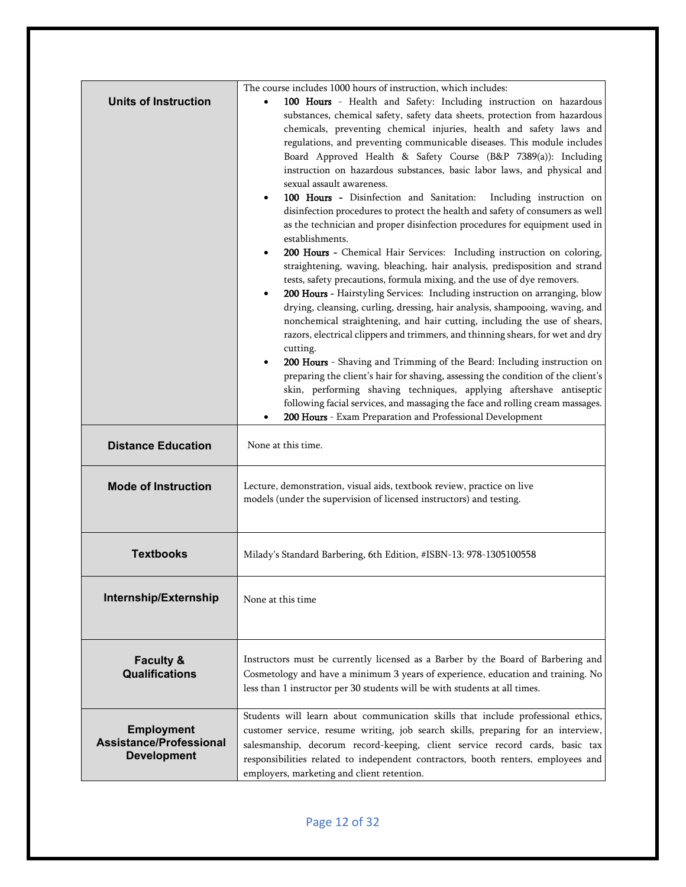| <b>Units of Instruction</b>                                               | The course includes 1000 hours of instruction, which includes:<br>100 Hours - Health and Safety: Including instruction on hazardous<br>substances, chemical safety, safety data sheets, protection from hazardous<br>chemicals, preventing chemical injuries, health and safety laws and<br>regulations, and preventing communicable diseases. This module includes<br>Board Approved Health & Safety Course (B&P 7389(a)): Including<br>instruction on hazardous substances, basic labor laws, and physical and<br>sexual assault awareness.<br>100 Hours - Disinfection and Sanitation:<br>Including instruction on<br>disinfection procedures to protect the health and safety of consumers as well<br>as the technician and proper disinfection procedures for equipment used in<br>establishments.<br>200 Hours - Chemical Hair Services: Including instruction on coloring,<br>straightening, waving, bleaching, hair analysis, predisposition and strand<br>tests, safety precautions, formula mixing, and the use of dye removers.<br>200 Hours - Hairstyling Services: Including instruction on arranging, blow<br>drying, cleansing, curling, dressing, hair analysis, shampooing, waving, and<br>nonchemical straightening, and hair cutting, including the use of shears,<br>razors, electrical clippers and trimmers, and thinning shears, for wet and dry<br>cutting.<br>200 Hours - Shaving and Trimming of the Beard: Including instruction on<br>preparing the client's hair for shaving, assessing the condition of the client's<br>skin, performing shaving techniques, applying aftershave antiseptic<br>following facial services, and massaging the face and rolling cream massages.<br>200 Hours - Exam Preparation and Professional Development |  |
|---------------------------------------------------------------------------|-------------------------------------------------------------------------------------------------------------------------------------------------------------------------------------------------------------------------------------------------------------------------------------------------------------------------------------------------------------------------------------------------------------------------------------------------------------------------------------------------------------------------------------------------------------------------------------------------------------------------------------------------------------------------------------------------------------------------------------------------------------------------------------------------------------------------------------------------------------------------------------------------------------------------------------------------------------------------------------------------------------------------------------------------------------------------------------------------------------------------------------------------------------------------------------------------------------------------------------------------------------------------------------------------------------------------------------------------------------------------------------------------------------------------------------------------------------------------------------------------------------------------------------------------------------------------------------------------------------------------------------------------------------------------------------------------------------------------------------------------------------------------|--|
| <b>Distance Education</b>                                                 | None at this time.                                                                                                                                                                                                                                                                                                                                                                                                                                                                                                                                                                                                                                                                                                                                                                                                                                                                                                                                                                                                                                                                                                                                                                                                                                                                                                                                                                                                                                                                                                                                                                                                                                                                                                                                                      |  |
| <b>Mode of Instruction</b>                                                | Lecture, demonstration, visual aids, textbook review, practice on live<br>models (under the supervision of licensed instructors) and testing.                                                                                                                                                                                                                                                                                                                                                                                                                                                                                                                                                                                                                                                                                                                                                                                                                                                                                                                                                                                                                                                                                                                                                                                                                                                                                                                                                                                                                                                                                                                                                                                                                           |  |
| <b>Textbooks</b>                                                          | Milady's Standard Barbering, 6th Edition, #ISBN-13: 978-1305100558                                                                                                                                                                                                                                                                                                                                                                                                                                                                                                                                                                                                                                                                                                                                                                                                                                                                                                                                                                                                                                                                                                                                                                                                                                                                                                                                                                                                                                                                                                                                                                                                                                                                                                      |  |
| Internship/Externship                                                     | None at this time                                                                                                                                                                                                                                                                                                                                                                                                                                                                                                                                                                                                                                                                                                                                                                                                                                                                                                                                                                                                                                                                                                                                                                                                                                                                                                                                                                                                                                                                                                                                                                                                                                                                                                                                                       |  |
| <b>Faculty &amp;</b><br><b>Qualifications</b>                             | Instructors must be currently licensed as a Barber by the Board of Barbering and<br>Cosmetology and have a minimum 3 years of experience, education and training. No<br>less than 1 instructor per 30 students will be with students at all times.                                                                                                                                                                                                                                                                                                                                                                                                                                                                                                                                                                                                                                                                                                                                                                                                                                                                                                                                                                                                                                                                                                                                                                                                                                                                                                                                                                                                                                                                                                                      |  |
| <b>Employment</b><br><b>Assistance/Professional</b><br><b>Development</b> | Students will learn about communication skills that include professional ethics,<br>customer service, resume writing, job search skills, preparing for an interview,<br>salesmanship, decorum record-keeping, client service record cards, basic tax<br>responsibilities related to independent contractors, booth renters, employees and<br>employers, marketing and client retention.                                                                                                                                                                                                                                                                                                                                                                                                                                                                                                                                                                                                                                                                                                                                                                                                                                                                                                                                                                                                                                                                                                                                                                                                                                                                                                                                                                                 |  |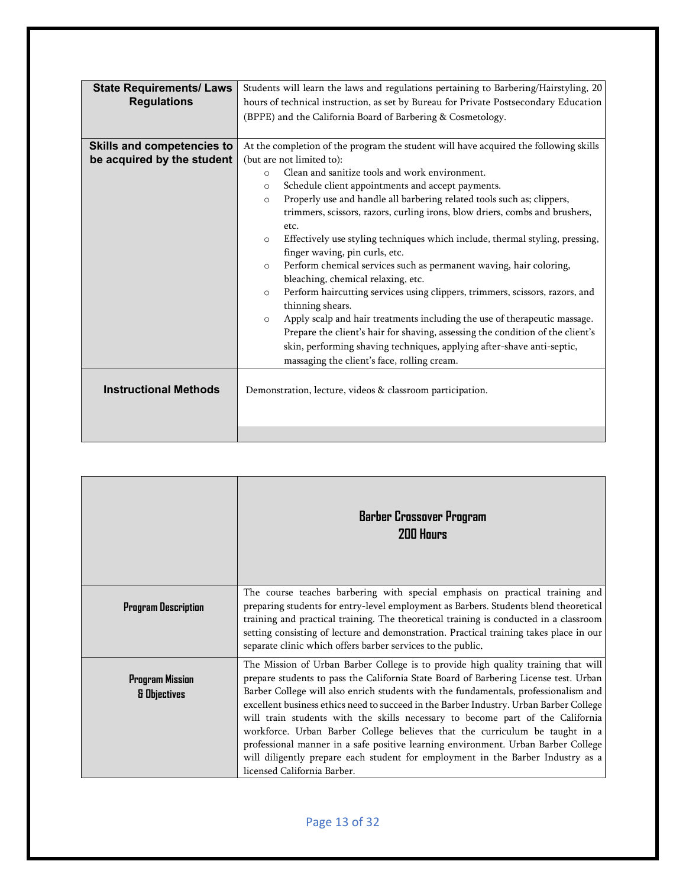| <b>State Requirements/ Laws</b><br><b>Regulations</b>    | Students will learn the laws and regulations pertaining to Barbering/Hairstyling, 20<br>hours of technical instruction, as set by Bureau for Private Postsecondary Education<br>(BPPE) and the California Board of Barbering & Cosmetology.                                                                                                                                                                                                                                                                                                                                                                                                                                |  |  |
|----------------------------------------------------------|----------------------------------------------------------------------------------------------------------------------------------------------------------------------------------------------------------------------------------------------------------------------------------------------------------------------------------------------------------------------------------------------------------------------------------------------------------------------------------------------------------------------------------------------------------------------------------------------------------------------------------------------------------------------------|--|--|
|                                                          |                                                                                                                                                                                                                                                                                                                                                                                                                                                                                                                                                                                                                                                                            |  |  |
| Skills and competencies to<br>be acquired by the student | At the completion of the program the student will have acquired the following skills<br>(but are not limited to):<br>Clean and sanitize tools and work environment.<br>$\circ$<br>Schedule client appointments and accept payments.<br>$\circ$<br>Properly use and handle all barbering related tools such as; clippers,<br>$\circ$<br>trimmers, scissors, razors, curling irons, blow driers, combs and brushers,                                                                                                                                                                                                                                                         |  |  |
|                                                          | etc.<br>Effectively use styling techniques which include, thermal styling, pressing,<br>$\circ$<br>finger waving, pin curls, etc.<br>Perform chemical services such as permanent waving, hair coloring,<br>$\circ$<br>bleaching, chemical relaxing, etc.<br>Perform haircutting services using clippers, trimmers, scissors, razors, and<br>$\circ$<br>thinning shears.<br>Apply scalp and hair treatments including the use of therapeutic massage.<br>$\circ$<br>Prepare the client's hair for shaving, assessing the condition of the client's<br>skin, performing shaving techniques, applying after-shave anti-septic,<br>massaging the client's face, rolling cream. |  |  |
| <b>Instructional Methods</b>                             | Demonstration, lecture, videos & classroom participation.                                                                                                                                                                                                                                                                                                                                                                                                                                                                                                                                                                                                                  |  |  |
|                                                          |                                                                                                                                                                                                                                                                                                                                                                                                                                                                                                                                                                                                                                                                            |  |  |

|                                        | Barber Crossover Program<br><b>200 Hours</b>                                                                                                                                                                                                                                                                                                                                                                                                                                                                                                                                                                                                                                                                                       |
|----------------------------------------|------------------------------------------------------------------------------------------------------------------------------------------------------------------------------------------------------------------------------------------------------------------------------------------------------------------------------------------------------------------------------------------------------------------------------------------------------------------------------------------------------------------------------------------------------------------------------------------------------------------------------------------------------------------------------------------------------------------------------------|
| <b>Program Description</b>             | The course teaches barbering with special emphasis on practical training and<br>preparing students for entry-level employment as Barbers. Students blend theoretical<br>training and practical training. The theoretical training is conducted in a classroom<br>setting consisting of lecture and demonstration. Practical training takes place in our<br>separate clinic which offers barber services to the public.                                                                                                                                                                                                                                                                                                             |
| <b>Program Mission</b><br>& Objectives | The Mission of Urban Barber College is to provide high quality training that will<br>prepare students to pass the California State Board of Barbering License test. Urban<br>Barber College will also enrich students with the fundamentals, professionalism and<br>excellent business ethics need to succeed in the Barber Industry. Urban Barber College<br>will train students with the skills necessary to become part of the California<br>workforce. Urban Barber College believes that the curriculum be taught in a<br>professional manner in a safe positive learning environment. Urban Barber College<br>will diligently prepare each student for employment in the Barber Industry as a<br>licensed California Barber. |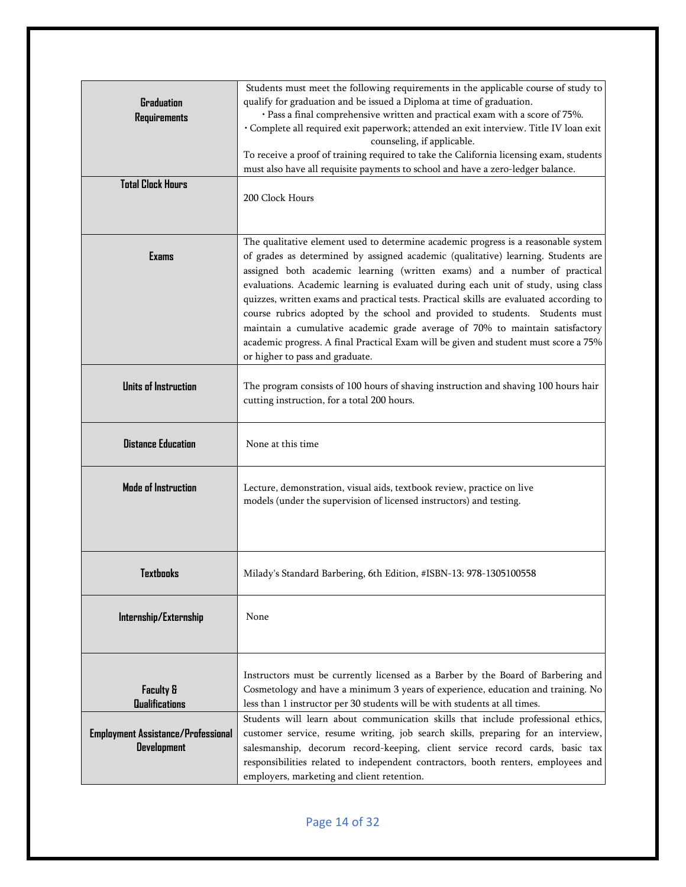| <b>Graduation</b><br><b>Requirements</b><br><b>Total Clock Hours</b>                       | Students must meet the following requirements in the applicable course of study to<br>qualify for graduation and be issued a Diploma at time of graduation.<br>· Pass a final comprehensive written and practical exam with a score of 75%.<br>· Complete all required exit paperwork; attended an exit interview. Title IV loan exit<br>counseling, if applicable.<br>To receive a proof of training required to take the California licensing exam, students<br>must also have all requisite payments to school and have a zero-ledger balance.<br>200 Clock Hours                                                                                                                                                             |
|--------------------------------------------------------------------------------------------|----------------------------------------------------------------------------------------------------------------------------------------------------------------------------------------------------------------------------------------------------------------------------------------------------------------------------------------------------------------------------------------------------------------------------------------------------------------------------------------------------------------------------------------------------------------------------------------------------------------------------------------------------------------------------------------------------------------------------------|
| <b>Exams</b>                                                                               | The qualitative element used to determine academic progress is a reasonable system<br>of grades as determined by assigned academic (qualitative) learning. Students are<br>assigned both academic learning (written exams) and a number of practical<br>evaluations. Academic learning is evaluated during each unit of study, using class<br>quizzes, written exams and practical tests. Practical skills are evaluated according to<br>course rubrics adopted by the school and provided to students. Students must<br>maintain a cumulative academic grade average of 70% to maintain satisfactory<br>academic progress. A final Practical Exam will be given and student must score a 75%<br>or higher to pass and graduate. |
| <b>Units of Instruction</b>                                                                | The program consists of 100 hours of shaving instruction and shaving 100 hours hair<br>cutting instruction, for a total 200 hours.                                                                                                                                                                                                                                                                                                                                                                                                                                                                                                                                                                                               |
| <b>Distance Education</b>                                                                  | None at this time                                                                                                                                                                                                                                                                                                                                                                                                                                                                                                                                                                                                                                                                                                                |
| Mode of Instruction                                                                        | Lecture, demonstration, visual aids, textbook review, practice on live<br>models (under the supervision of licensed instructors) and testing.                                                                                                                                                                                                                                                                                                                                                                                                                                                                                                                                                                                    |
| Textbooks                                                                                  | Milady's Standard Barbering, 6th Edition, #ISBN-13: 978-1305100558                                                                                                                                                                                                                                                                                                                                                                                                                                                                                                                                                                                                                                                               |
| Internship/Externship                                                                      | None                                                                                                                                                                                                                                                                                                                                                                                                                                                                                                                                                                                                                                                                                                                             |
| <b>Faculty &amp;</b><br><b>Qualifications</b><br><b>Employment Assistance/Professional</b> | Instructors must be currently licensed as a Barber by the Board of Barbering and<br>Cosmetology and have a minimum 3 years of experience, education and training. No<br>less than 1 instructor per 30 students will be with students at all times.<br>Students will learn about communication skills that include professional ethics,<br>customer service, resume writing, job search skills, preparing for an interview,                                                                                                                                                                                                                                                                                                       |
| <b>Development</b>                                                                         | salesmanship, decorum record-keeping, client service record cards, basic tax<br>responsibilities related to independent contractors, booth renters, employees and<br>employers, marketing and client retention.                                                                                                                                                                                                                                                                                                                                                                                                                                                                                                                  |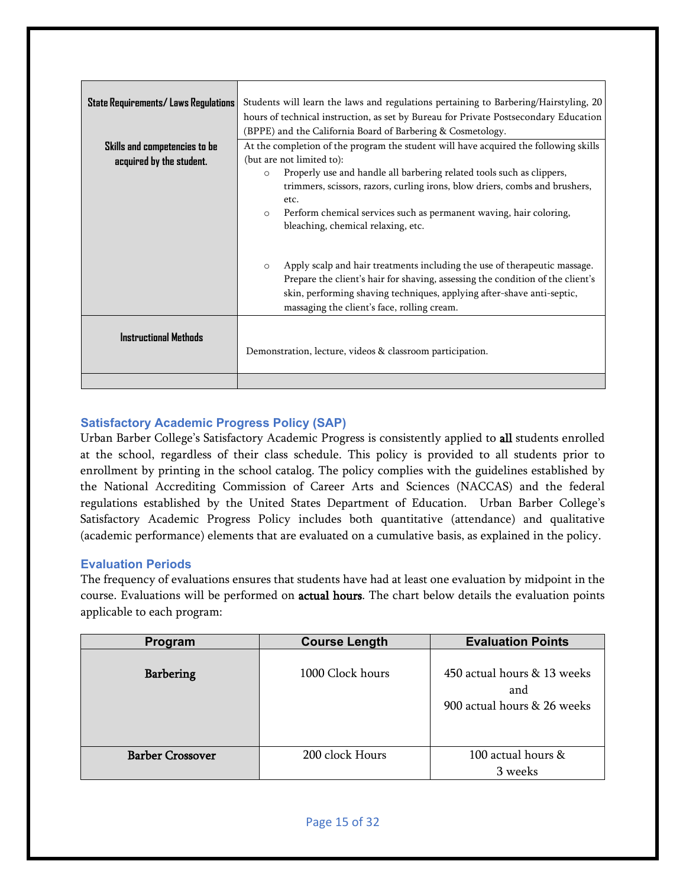| State Requirements/ Laws Regulations | Students will learn the laws and regulations pertaining to Barbering/Hairstyling, 20<br>hours of technical instruction, as set by Bureau for Private Postsecondary Education<br>(BPPE) and the California Board of Barbering & Cosmetology.                                                                                 |
|--------------------------------------|-----------------------------------------------------------------------------------------------------------------------------------------------------------------------------------------------------------------------------------------------------------------------------------------------------------------------------|
| Skills and competencies to be        | At the completion of the program the student will have acquired the following skills                                                                                                                                                                                                                                        |
| acquired by the student.             | (but are not limited to):<br>Properly use and handle all barbering related tools such as clippers,<br>$\circ$<br>trimmers, scissors, razors, curling irons, blow driers, combs and brushers,<br>etc.<br>Perform chemical services such as permanent waving, hair coloring,<br>$\circ$<br>bleaching, chemical relaxing, etc. |
|                                      | Apply scalp and hair treatments including the use of therapeutic massage.<br>$\circ$<br>Prepare the client's hair for shaving, assessing the condition of the client's<br>skin, performing shaving techniques, applying after-shave anti-septic,<br>massaging the client's face, rolling cream.                             |
| <b>Instructional Methods</b>         | Demonstration, lecture, videos & classroom participation.                                                                                                                                                                                                                                                                   |
|                                      |                                                                                                                                                                                                                                                                                                                             |

# <span id="page-14-0"></span>**Satisfactory Academic Progress Policy (SAP)**

Urban Barber College's Satisfactory Academic Progress is consistently applied to all students enrolled at the school, regardless of their class schedule. This policy is provided to all students prior to enrollment by printing in the school catalog. The policy complies with the guidelines established by the National Accrediting Commission of Career Arts and Sciences (NACCAS) and the federal regulations established by the United States Department of Education. Urban Barber College's Satisfactory Academic Progress Policy includes both quantitative (attendance) and qualitative (academic performance) elements that are evaluated on a cumulative basis, as explained in the policy.

# <span id="page-14-1"></span>**Evaluation Periods**

The frequency of evaluations ensures that students have had at least one evaluation by midpoint in the course. Evaluations will be performed on actual hours. The chart below details the evaluation points applicable to each program:

| Program                 | <b>Course Length</b> | <b>Evaluation Points</b>                                          |
|-------------------------|----------------------|-------------------------------------------------------------------|
| <b>Barbering</b>        | 1000 Clock hours     | 450 actual hours & 13 weeks<br>and<br>900 actual hours & 26 weeks |
| <b>Barber Crossover</b> | 200 clock Hours      | 100 actual hours &                                                |
|                         |                      | 3 weeks                                                           |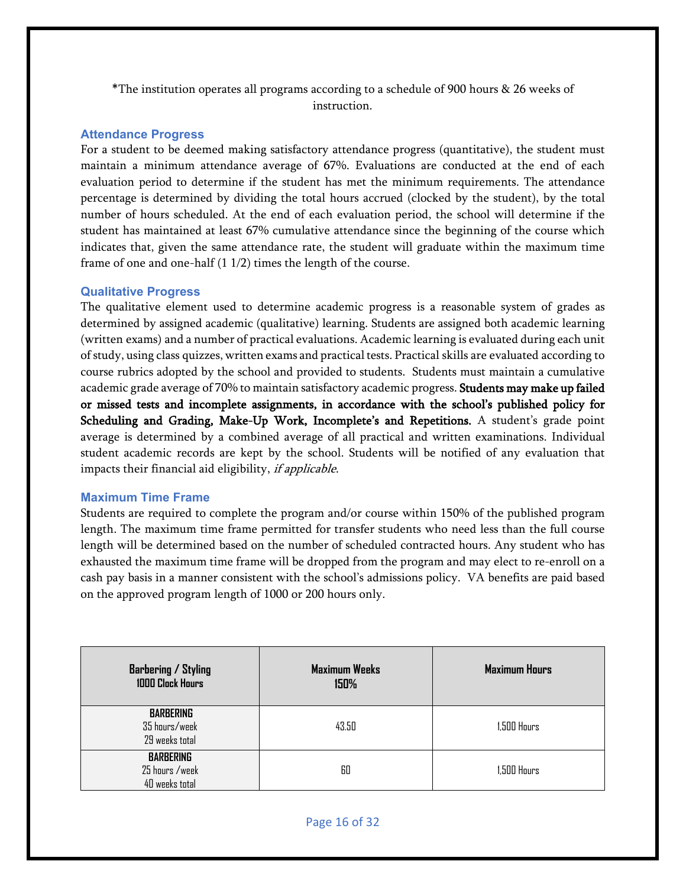\*The institution operates all programs according to a schedule of 900 hours & 26 weeks of instruction.

#### <span id="page-15-0"></span>**Attendance Progress**

For a student to be deemed making satisfactory attendance progress (quantitative), the student must maintain a minimum attendance average of 67%. Evaluations are conducted at the end of each evaluation period to determine if the student has met the minimum requirements. The attendance percentage is determined by dividing the total hours accrued (clocked by the student), by the total number of hours scheduled. At the end of each evaluation period, the school will determine if the student has maintained at least 67% cumulative attendance since the beginning of the course which indicates that, given the same attendance rate, the student will graduate within the maximum time frame of one and one-half (1 1/2) times the length of the course.

#### <span id="page-15-1"></span>**Qualitative Progress**

The qualitative element used to determine academic progress is a reasonable system of grades as determined by assigned academic (qualitative) learning. Students are assigned both academic learning (written exams) and a number of practical evaluations. Academic learning is evaluated during each unit of study, using class quizzes, written exams and practical tests. Practical skills are evaluated according to course rubrics adopted by the school and provided to students. Students must maintain a cumulative academic grade average of 70% to maintain satisfactory academic progress. Students may make up failed or missed tests and incomplete assignments, in accordance with the school's published policy for Scheduling and Grading, Make-Up Work, Incomplete's and Repetitions. A student's grade point average is determined by a combined average of all practical and written examinations. Individual student academic records are kept by the school. Students will be notified of any evaluation that impacts their financial aid eligibility, if applicable.

#### <span id="page-15-2"></span>**Maximum Time Frame**

Students are required to complete the program and/or course within 150% of the published program length. The maximum time frame permitted for transfer students who need less than the full course length will be determined based on the number of scheduled contracted hours. Any student who has exhausted the maximum time frame will be dropped from the program and may elect to re-enroll on a cash pay basis in a manner consistent with the school's admissions policy. VA benefits are paid based on the approved program length of 1000 or 200 hours only.

| <b>Barbering / Styling</b><br><b>1000 Clock Hours</b> | <b>Maximum Weeks</b><br>150% | <b>Maximum Hours</b> |
|-------------------------------------------------------|------------------------------|----------------------|
| <b>BARBERING</b><br>35 hours/week<br>29 weeks total   | 43.50                        | $1,500$ Hours        |
| <b>BARBERING</b><br>25 hours /week<br>40 weeks total  | 60                           | 1,500 Hours          |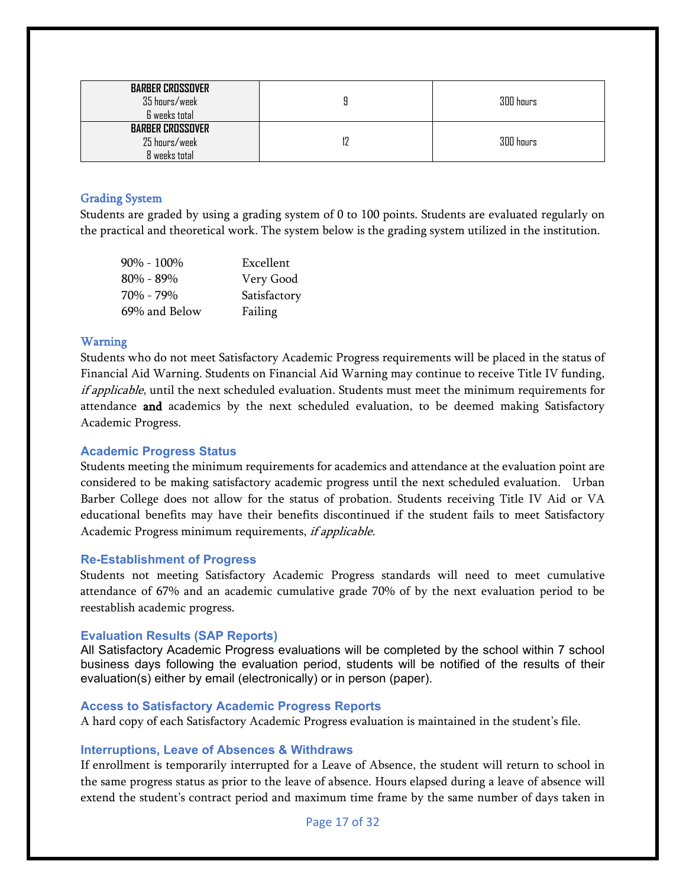| <b>BARBER CROSSOVER</b><br>35 hours/week<br>6 weeks total | 300 hours |
|-----------------------------------------------------------|-----------|
| <b>BARBER CROSSOVER</b><br>25 hours/week<br>8 weeks total | 300 hours |

#### <span id="page-16-0"></span>Grading System

Students are graded by using a grading system of 0 to 100 points. Students are evaluated regularly on the practical and theoretical work. The system below is the grading system utilized in the institution.

| $90\% - 100\%$ | Excellent    |
|----------------|--------------|
| $80\% - 89\%$  | Very Good    |
| 70% - 79%      | Satisfactory |
| 69% and Below  | Failing      |

#### <span id="page-16-1"></span>Warning

Students who do not meet Satisfactory Academic Progress requirements will be placed in the status of Financial Aid Warning. Students on Financial Aid Warning may continue to receive Title IV funding, if applicable, until the next scheduled evaluation. Students must meet the minimum requirements for attendance and academics by the next scheduled evaluation, to be deemed making Satisfactory Academic Progress.

#### <span id="page-16-2"></span>**Academic Progress Status**

Students meeting the minimum requirements for academics and attendance at the evaluation point are considered to be making satisfactory academic progress until the next scheduled evaluation. Urban Barber College does not allow for the status of probation. Students receiving Title IV Aid or VA educational benefits may have their benefits discontinued if the student fails to meet Satisfactory Academic Progress minimum requirements, if applicable.

#### <span id="page-16-3"></span>**Re-Establishment of Progress**

Students not meeting Satisfactory Academic Progress standards will need to meet cumulative attendance of 67% and an academic cumulative grade 70% of by the next evaluation period to be reestablish academic progress.

#### <span id="page-16-4"></span>**Evaluation Results (SAP Reports)**

All Satisfactory Academic Progress evaluations will be completed by the school within 7 school business days following the evaluation period, students will be notified of the results of their evaluation(s) either by email (electronically) or in person (paper).

#### <span id="page-16-5"></span>**Access to Satisfactory Academic Progress Reports**

<span id="page-16-6"></span>A hard copy of each Satisfactory Academic Progress evaluation is maintained in the student's file.

#### **Interruptions, Leave of Absences & Withdraws**

If enrollment is temporarily interrupted for a Leave of Absence, the student will return to school in the same progress status as prior to the leave of absence. Hours elapsed during a leave of absence will extend the student's contract period and maximum time frame by the same number of days taken in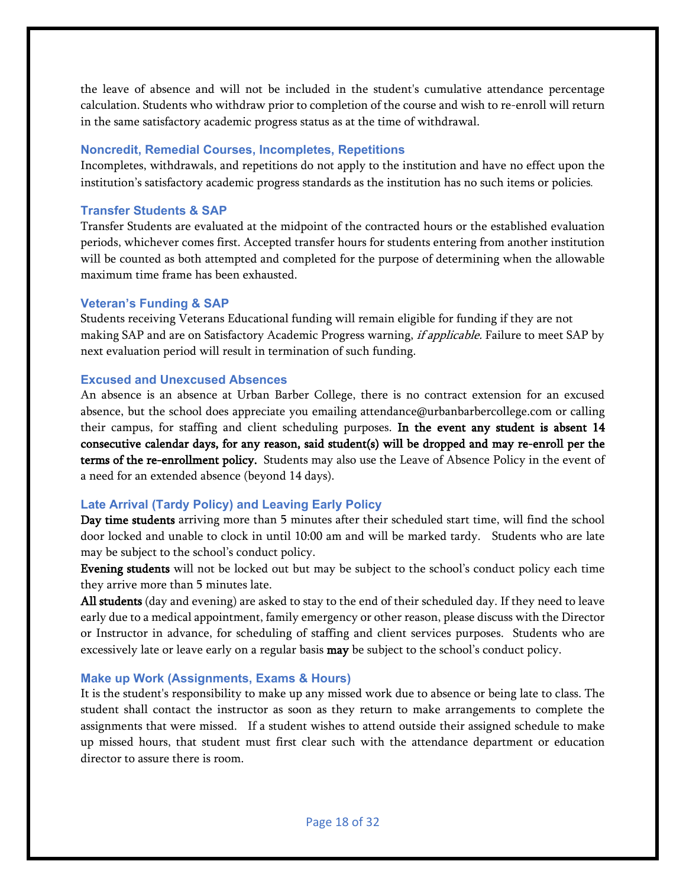the leave of absence and will not be included in the student's cumulative attendance percentage calculation. Students who withdraw prior to completion of the course and wish to re-enroll will return in the same satisfactory academic progress status as at the time of withdrawal.

#### <span id="page-17-0"></span>**Noncredit, Remedial Courses, Incompletes, Repetitions**

Incompletes, withdrawals, and repetitions do not apply to the institution and have no effect upon the institution's satisfactory academic progress standards as the institution has no such items or policies.

#### <span id="page-17-1"></span>**Transfer Students & SAP**

Transfer Students are evaluated at the midpoint of the contracted hours or the established evaluation periods, whichever comes first. Accepted transfer hours for students entering from another institution will be counted as both attempted and completed for the purpose of determining when the allowable maximum time frame has been exhausted.

# <span id="page-17-2"></span>**Veteran's Funding & SAP**

Students receiving Veterans Educational funding will remain eligible for funding if they are not making SAP and are on Satisfactory Academic Progress warning, *if applicable.* Failure to meet SAP by next evaluation period will result in termination of such funding.

#### <span id="page-17-3"></span>**Excused and Unexcused Absences**

An absence is an absence at Urban Barber College, there is no contract extension for an excused absence, but the school does appreciate you emailing attendance@urbanbarbercollege.com or calling their campus, for staffing and client scheduling purposes. In the event any student is absent 14 consecutive calendar days, for any reason, said student(s) will be dropped and may re-enroll per the terms of the re-enrollment policy. Students may also use the Leave of Absence Policy in the event of a need for an extended absence (beyond 14 days).

#### <span id="page-17-4"></span>**Late Arrival (Tardy Policy) and Leaving Early Policy**

Day time students arriving more than 5 minutes after their scheduled start time, will find the school door locked and unable to clock in until 10:00 am and will be marked tardy. Students who are late may be subject to the school's conduct policy.

Evening students will not be locked out but may be subject to the school's conduct policy each time they arrive more than 5 minutes late.

All students (day and evening) are asked to stay to the end of their scheduled day. If they need to leave early due to a medical appointment, family emergency or other reason, please discuss with the Director or Instructor in advance, for scheduling of staffing and client services purposes. Students who are excessively late or leave early on a regular basis **may** be subject to the school's conduct policy.

#### <span id="page-17-5"></span>**Make up Work (Assignments, Exams & Hours)**

It is the student's responsibility to make up any missed work due to absence or being late to class. The student shall contact the instructor as soon as they return to make arrangements to complete the assignments that were missed. If a student wishes to attend outside their assigned schedule to make up missed hours, that student must first clear such with the attendance department or education director to assure there is room.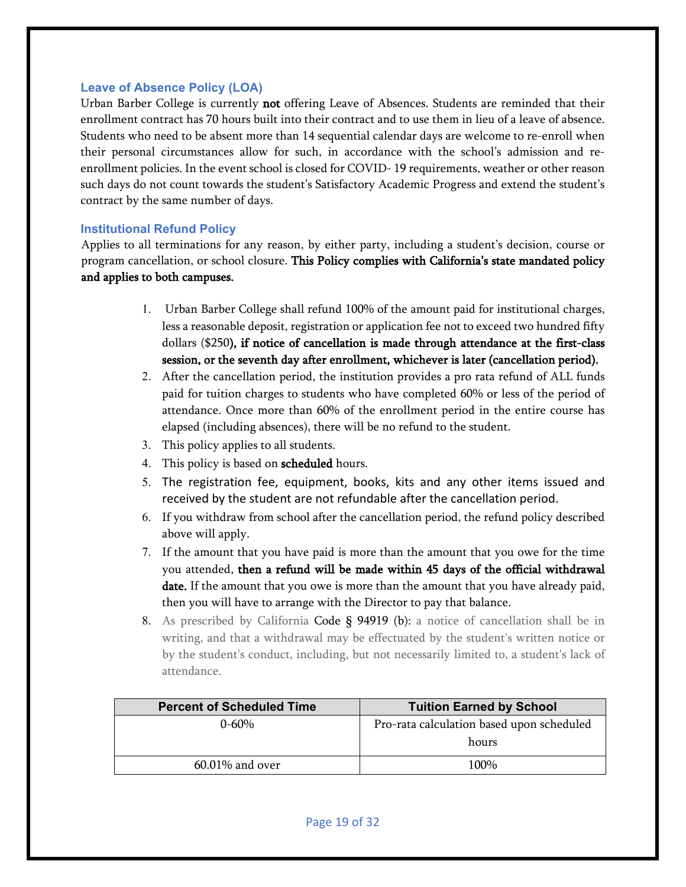#### <span id="page-18-0"></span>**Leave of Absence Policy (LOA)**

Urban Barber College is currently not offering Leave of Absences. Students are reminded that their enrollment contract has 70 hours built into their contract and to use them in lieu of a leave of absence. Students who need to be absent more than 14 sequential calendar days are welcome to re-enroll when their personal circumstances allow for such, in accordance with the school's admission and reenrollment policies. In the event school is closed for COVID- 19 requirements, weather or other reason such days do not count towards the student's Satisfactory Academic Progress and extend the student's contract by the same number of days.

#### <span id="page-18-1"></span>**Institutional Refund Policy**

Applies to all terminations for any reason, by either party, including a student's decision, course or program cancellation, or school closure. This Policy complies with California's state mandated policy and applies to both campuses.

- 1. Urban Barber College shall refund 100% of the amount paid for institutional charges, less a reasonable deposit, registration or application fee not to exceed two hundred fifty dollars (\$250), if notice of cancellation is made through attendance at the first-class session, or the seventh day after enrollment, whichever is later (cancellation period).
- 2. After the cancellation period, the institution provides a pro rata refund of ALL funds paid for tuition charges to students who have completed 60% or less of the period of attendance. Once more than 60% of the enrollment period in the entire course has elapsed (including absences), there will be no refund to the student.
- 3. This policy applies to all students.
- 4. This policy is based on **scheduled** hours.
- 5. The registration fee, equipment, books, kits and any other items issued and received by the student are not refundable after the cancellation period.
- 6. If you withdraw from school after the cancellation period, the refund policy described above will apply.
- 7. If the amount that you have paid is more than the amount that you owe for the time you attended, then a refund will be made within 45 days of the official withdrawal date. If the amount that you owe is more than the amount that you have already paid, then you will have to arrange with the Director to pay that balance.
- 8. As prescribed by California Code § 94919 (b): a notice of cancellation shall be in writing, and that a withdrawal may be effectuated by the student's written notice or by the student's conduct, including, but not necessarily limited to, a student's lack of attendance.

| <b>Percent of Scheduled Time</b> | <b>Tuition Earned by School</b>           |
|----------------------------------|-------------------------------------------|
| $0 - 60\%$                       | Pro-rata calculation based upon scheduled |
|                                  | hours                                     |
| $60.01\%$ and over               | 100%                                      |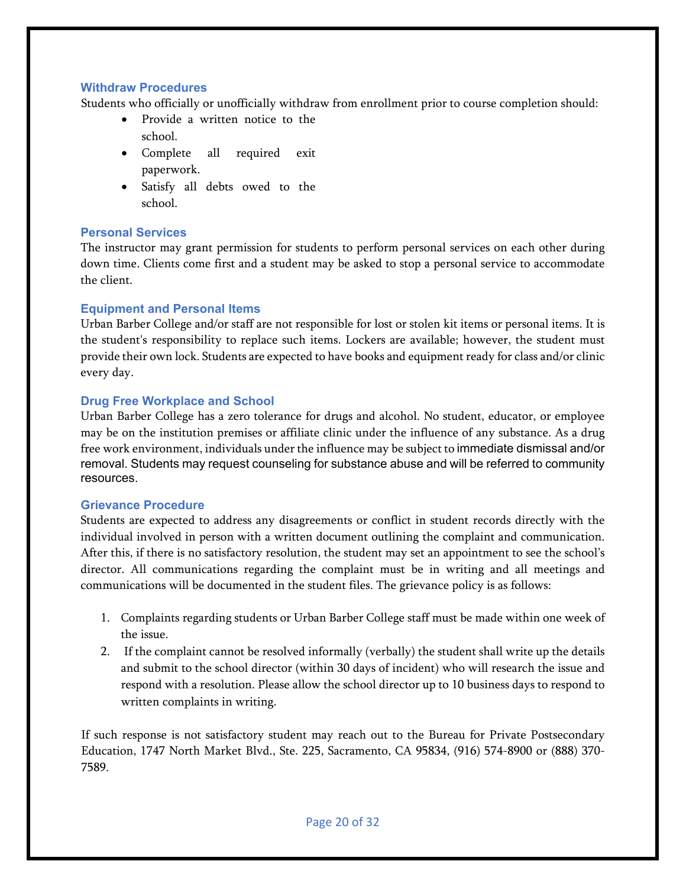#### <span id="page-19-0"></span>**Withdraw Procedures**

Students who officially or unofficially withdraw from enrollment prior to course completion should:

- Provide a written notice to the school.
- Complete all required exit paperwork.
- Satisfy all debts owed to the school.

#### <span id="page-19-1"></span>**Personal Services**

The instructor may grant permission for students to perform personal services on each other during down time. Clients come first and a student may be asked to stop a personal service to accommodate the client.

#### <span id="page-19-2"></span>**Equipment and Personal Items**

Urban Barber College and/or staff are not responsible for lost or stolen kit items or personal items. It is the student's responsibility to replace such items. Lockers are available; however, the student must provide their own lock. Students are expected to have books and equipment ready for class and/or clinic every day.

#### <span id="page-19-3"></span>**Drug Free Workplace and School**

Urban Barber College has a zero tolerance for drugs and alcohol. No student, educator, or employee may be on the institution premises or affiliate clinic under the influence of any substance. As a drug free work environment, individuals under the influence may be subject to immediate dismissal and/or removal. Students may request counseling for substance abuse and will be referred to community resources.

#### **Grievance Procedure**

Students are expected to address any disagreements or conflict in student records directly with the individual involved in person with a written document outlining the complaint and communication. After this, if there is no satisfactory resolution, the student may set an appointment to see the school's director. All communications regarding the complaint must be in writing and all meetings and communications will be documented in the student files. The grievance policy is as follows:

- 1. Complaints regarding students or Urban Barber College staff must be made within one week of the issue.
- 2. If the complaint cannot be resolved informally (verbally) the student shall write up the details and submit to the school director (within 30 days of incident) who will research the issue and respond with a resolution. Please allow the school director up to 10 business days to respond to written complaints in writing.

If such response is not satisfactory student may reach out to the Bureau for Private Postsecondary Education, 1747 North Market Blvd., Ste. 225, Sacramento, CA 95834, (916) 574-8900 or (888) 370- 7589.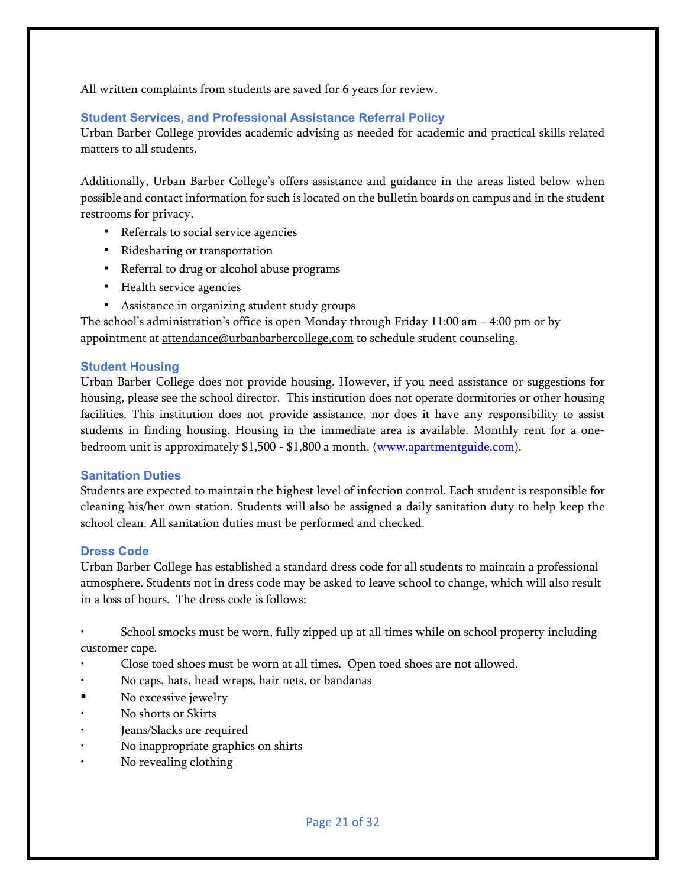<span id="page-20-0"></span>All written complaints from students are saved for 6 years for review.

# **Student Services, and Professional Assistance Referral Policy**

Urban Barber College provides academic advising-as needed for academic and practical skills related matters to all students.

Additionally, Urban Barber College's offers assistance and guidance in the areas listed below when possible and contact information for such is located on the bulletin boards on campus and in the student restrooms for privacy.

- Referrals to social service agencies
- Ridesharing or transportation
- Referral to drug or alcohol abuse programs
- Health service agencies
- Assistance in organizing student study groups

The school's administration's office is open Monday through Friday  $11:00$  am  $-4:00$  pm or by appointment at attendance@urbanbarbercollege,com to schedule student counseling.

#### <span id="page-20-1"></span>**Student Housing**

Urban Barber College does not provide housing. However, if you need assistance or suggestions for housing, please see the school director. This institution does not operate dormitories or other housing facilities. This institution does not provide assistance, nor does it have any responsibility to assist students in finding housing. Housing in the immediate area is available. Monthly rent for a one-bedroom unit is approximately \$1,500 - \$1,800 a month. [\(www.apartmentguide.com\)](http://www.apartmentguide.com/).

#### <span id="page-20-2"></span>**Sanitation Duties**

Students are expected to maintain the highest level of infection control. Each student is responsible for cleaning his/her own station. Students will also be assigned a daily sanitation duty to help keep the school clean. All sanitation duties must be performed and checked.

#### <span id="page-20-3"></span>**Dress Code**

Urban Barber College has established a standard dress code for all students to maintain a professional atmosphere. Students not in dress code may be asked to leave school to change, which will also result in a loss of hours. The dress code is follows:

• School smocks must be worn, fully zipped up at all times while on school property including customer cape.

- Close toed shoes must be worn at all times. Open toed shoes are not allowed.
- No caps, hats, head wraps, hair nets, or bandanas
- No excessive jewelry
- No shorts or Skirts
- Jeans/Slacks are required
- No inappropriate graphics on shirts
- No revealing clothing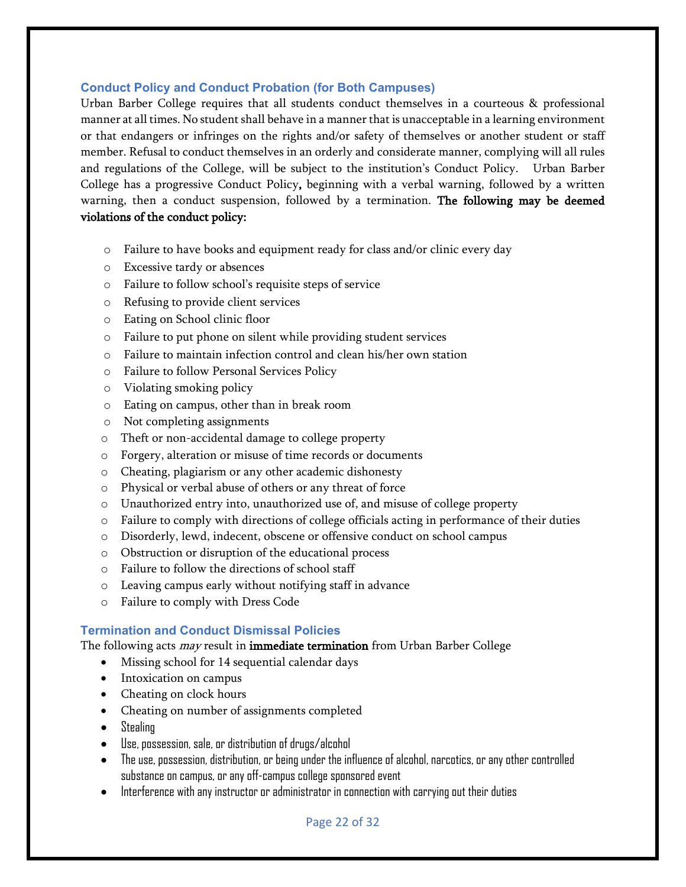#### <span id="page-21-0"></span>**Conduct Policy and Conduct Probation (for Both Campuses)**

Urban Barber College requires that all students conduct themselves in a courteous & professional manner at all times. No student shall behave in a manner that is unacceptable in a learning environment or that endangers or infringes on the rights and/or safety of themselves or another student or staff member. Refusal to conduct themselves in an orderly and considerate manner, complying will all rules and regulations of the College, will be subject to the institution's Conduct Policy. Urban Barber College has a progressive Conduct Policy, beginning with a verbal warning, followed by a written warning, then a conduct suspension, followed by a termination. The following may be deemed violations of the conduct policy:

- o Failure to have books and equipment ready for class and/or clinic every day
- o Excessive tardy or absences
- o Failure to follow school's requisite steps of service
- o Refusing to provide client services
- o Eating on School clinic floor
- o Failure to put phone on silent while providing student services
- o Failure to maintain infection control and clean his/her own station
- o Failure to follow Personal Services Policy
- o Violating smoking policy
- o Eating on campus, other than in break room
- o Not completing assignments
- o Theft or non-accidental damage to college property
- o Forgery, alteration or misuse of time records or documents
- o Cheating, plagiarism or any other academic dishonesty
- o Physical or verbal abuse of others or any threat of force
- o Unauthorized entry into, unauthorized use of, and misuse of college property
- o Failure to comply with directions of college officials acting in performance of their duties
- o Disorderly, lewd, indecent, obscene or offensive conduct on school campus
- o Obstruction or disruption of the educational process
- o Failure to follow the directions of school staff
- o Leaving campus early without notifying staff in advance
- o Failure to comply with Dress Code

#### <span id="page-21-1"></span>**Termination and Conduct Dismissal Policies**

The following acts *may* result in **immediate termination** from Urban Barber College

- Missing school for 14 sequential calendar days
- Intoxication on campus
- Cheating on clock hours
- Cheating on number of assignments completed
- Stealing
- Use, possession, sale, or distribution of drugs/alcohol
- The use, possession, distribution, or being under the influence of alcohol, narcotics, or any other controlled substance on campus, or any off-campus college sponsored event
- Interference with any instructor or administrator in connection with carrying out their duties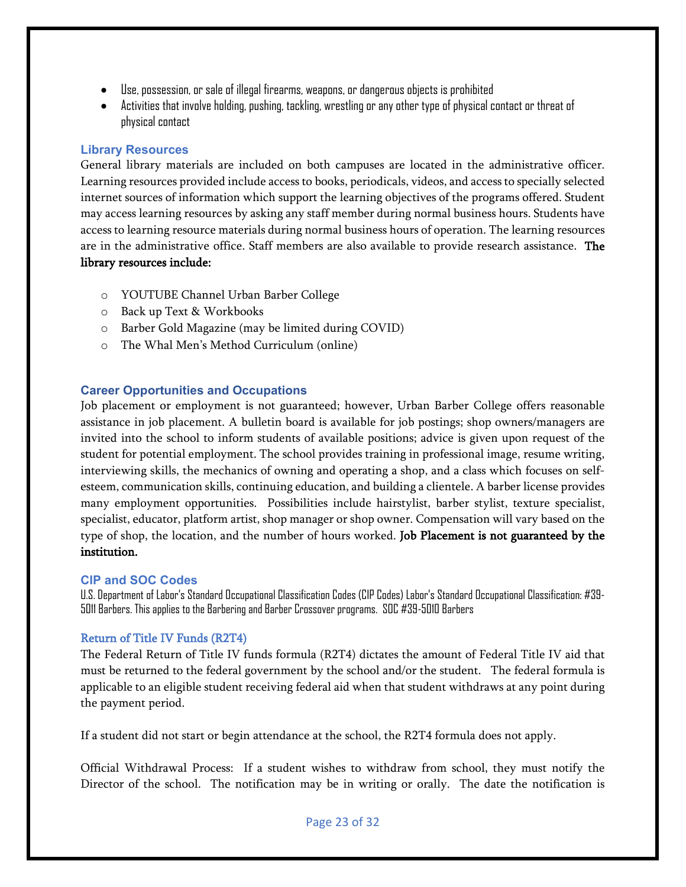- Use, possession, or sale of illegal firearms, weapons, or dangerous objects is prohibited
- Activities that involve holding, pushing, tackling, wrestling or any other type of physical contact or threat of physical contact

## <span id="page-22-0"></span>**Library Resources**

General library materials are included on both campuses are located in the administrative officer. Learning resources provided include access to books, periodicals, videos, and access to specially selected internet sources of information which support the learning objectives of the programs offered. Student may access learning resources by asking any staff member during normal business hours. Students have access to learning resource materials during normal business hours of operation. The learning resources are in the administrative office. Staff members are also available to provide research assistance. The library resources include:

- o YOUTUBE Channel Urban Barber College
- o Back up Text & Workbooks
- o Barber Gold Magazine (may be limited during COVID)
- o The Whal Men's Method Curriculum (online)

# <span id="page-22-1"></span>**Career Opportunities and Occupations**

Job placement or employment is not guaranteed; however, Urban Barber College offers reasonable assistance in job placement. A bulletin board is available for job postings; shop owners/managers are invited into the school to inform students of available positions; advice is given upon request of the student for potential employment. The school provides training in professional image, resume writing, interviewing skills, the mechanics of owning and operating a shop, and a class which focuses on selfesteem, communication skills, continuing education, and building a clientele. A barber license provides many employment opportunities. Possibilities include hairstylist, barber stylist, texture specialist, specialist, educator, platform artist, shop manager or shop owner. Compensation will vary based on the type of shop, the location, and the number of hours worked. Job Placement is not guaranteed by the institution.

#### <span id="page-22-2"></span>**CIP and SOC Codes**

U.S. Department of Labor's Standard Occupational Classification Codes (CIP Codes) Labor's Standard Occupational Classification: #39- 5011 Barbers. This applies to the Barbering and Barber Crossover programs. SOC #39-5010 Barbers

#### <span id="page-22-3"></span>Return of Title IV Funds (R2T4)

The Federal Return of Title IV funds formula (R2T4) dictates the amount of Federal Title IV aid that must be returned to the federal government by the school and/or the student. The federal formula is applicable to an eligible student receiving federal aid when that student withdraws at any point during the payment period.

If a student did not start or begin attendance at the school, the R2T4 formula does not apply.

Official Withdrawal Process: If a student wishes to withdraw from school, they must notify the Director of the school. The notification may be in writing or orally. The date the notification is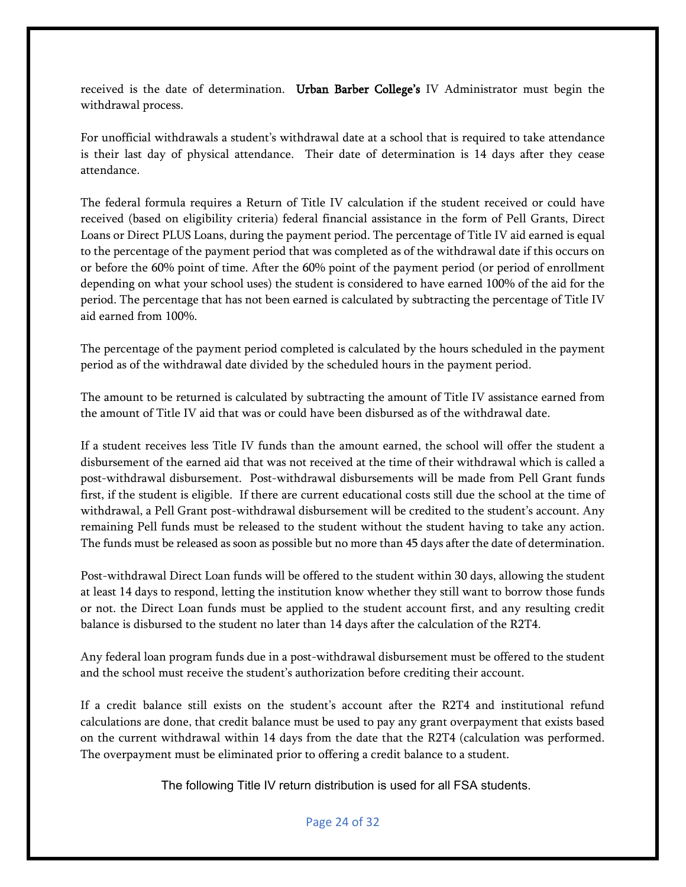received is the date of determination. Urban Barber College's IV Administrator must begin the withdrawal process.

For unofficial withdrawals a student's withdrawal date at a school that is required to take attendance is their last day of physical attendance. Their date of determination is 14 days after they cease attendance.

The federal formula requires a Return of Title IV calculation if the student received or could have received (based on eligibility criteria) federal financial assistance in the form of Pell Grants, Direct Loans or Direct PLUS Loans, during the payment period. The percentage of Title IV aid earned is equal to the percentage of the payment period that was completed as of the withdrawal date if this occurs on or before the 60% point of time. After the 60% point of the payment period (or period of enrollment depending on what your school uses) the student is considered to have earned 100% of the aid for the period. The percentage that has not been earned is calculated by subtracting the percentage of Title IV aid earned from 100%.

The percentage of the payment period completed is calculated by the hours scheduled in the payment period as of the withdrawal date divided by the scheduled hours in the payment period.

The amount to be returned is calculated by subtracting the amount of Title IV assistance earned from the amount of Title IV aid that was or could have been disbursed as of the withdrawal date.

If a student receives less Title IV funds than the amount earned, the school will offer the student a disbursement of the earned aid that was not received at the time of their withdrawal which is called a post-withdrawal disbursement. Post-withdrawal disbursements will be made from Pell Grant funds first, if the student is eligible. If there are current educational costs still due the school at the time of withdrawal, a Pell Grant post-withdrawal disbursement will be credited to the student's account. Any remaining Pell funds must be released to the student without the student having to take any action. The funds must be released as soon as possible but no more than 45 days after the date of determination.

Post-withdrawal Direct Loan funds will be offered to the student within 30 days, allowing the student at least 14 days to respond, letting the institution know whether they still want to borrow those funds or not. the Direct Loan funds must be applied to the student account first, and any resulting credit balance is disbursed to the student no later than 14 days after the calculation of the R2T4.

Any federal loan program funds due in a post-withdrawal disbursement must be offered to the student and the school must receive the student's authorization before crediting their account.

If a credit balance still exists on the student's account after the R2T4 and institutional refund calculations are done, that credit balance must be used to pay any grant overpayment that exists based on the current withdrawal within 14 days from the date that the R2T4 (calculation was performed. The overpayment must be eliminated prior to offering a credit balance to a student.

The following Title IV return distribution is used for all FSA students.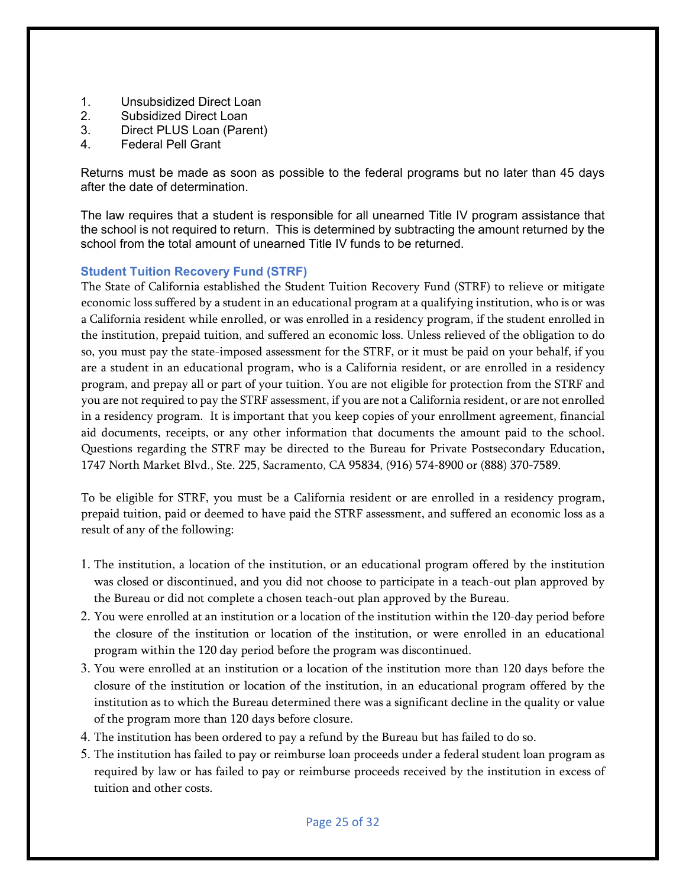- 1. Unsubsidized Direct Loan
- 2. Subsidized Direct Loan
- 3. Direct PLUS Loan (Parent)
- 4. Federal Pell Grant

Returns must be made as soon as possible to the federal programs but no later than 45 days after the date of determination.

The law requires that a student is responsible for all unearned Title IV program assistance that the school is not required to return. This is determined by subtracting the amount returned by the school from the total amount of unearned Title IV funds to be returned.

# <span id="page-24-0"></span>**Student Tuition Recovery Fund (STRF)**

The State of California established the Student Tuition Recovery Fund (STRF) to relieve or mitigate economic loss suffered by a student in an educational program at a qualifying institution, who is or was a California resident while enrolled, or was enrolled in a residency program, if the student enrolled in the institution, prepaid tuition, and suffered an economic loss. Unless relieved of the obligation to do so, you must pay the state-imposed assessment for the STRF, or it must be paid on your behalf, if you are a student in an educational program, who is a California resident, or are enrolled in a residency program, and prepay all or part of your tuition. You are not eligible for protection from the STRF and you are not required to pay the STRF assessment, if you are not a California resident, or are not enrolled in a residency program. It is important that you keep copies of your enrollment agreement, financial aid documents, receipts, or any other information that documents the amount paid to the school. Questions regarding the STRF may be directed to the Bureau for Private Postsecondary Education, 1747 North Market Blvd., Ste. 225, Sacramento, CA 95834, (916) 574-8900 or (888) 370-7589.

To be eligible for STRF, you must be a California resident or are enrolled in a residency program, prepaid tuition, paid or deemed to have paid the STRF assessment, and suffered an economic loss as a result of any of the following:

- 1. The institution, a location of the institution, or an educational program offered by the institution was closed or discontinued, and you did not choose to participate in a teach-out plan approved by the Bureau or did not complete a chosen teach-out plan approved by the Bureau.
- 2. You were enrolled at an institution or a location of the institution within the 120-day period before the closure of the institution or location of the institution, or were enrolled in an educational program within the 120 day period before the program was discontinued.
- 3. You were enrolled at an institution or a location of the institution more than 120 days before the closure of the institution or location of the institution, in an educational program offered by the institution as to which the Bureau determined there was a significant decline in the quality or value of the program more than 120 days before closure.
- 4. The institution has been ordered to pay a refund by the Bureau but has failed to do so.
- 5. The institution has failed to pay or reimburse loan proceeds under a federal student loan program as required by law or has failed to pay or reimburse proceeds received by the institution in excess of tuition and other costs.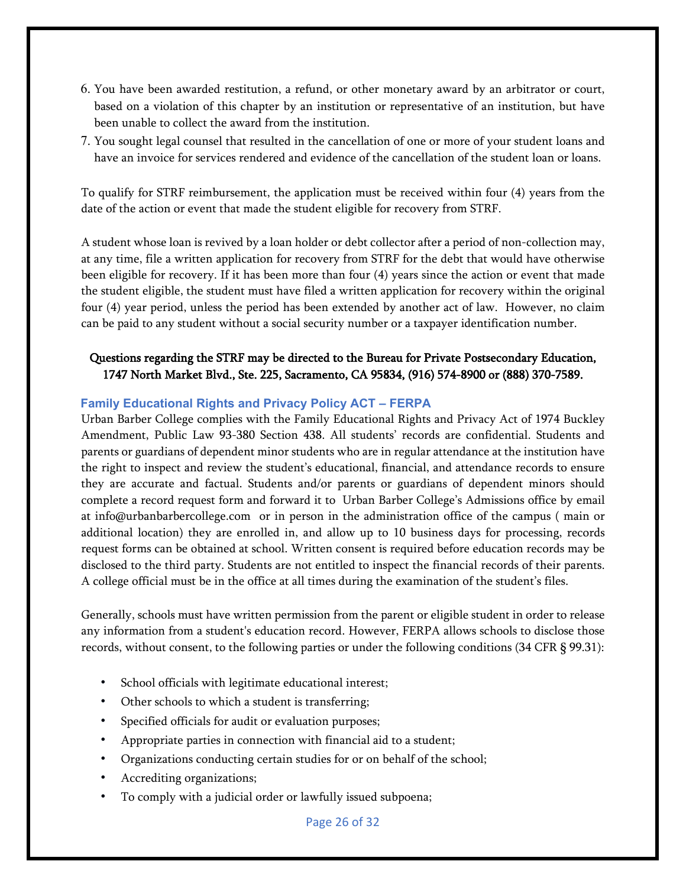- 6. You have been awarded restitution, a refund, or other monetary award by an arbitrator or court, based on a violation of this chapter by an institution or representative of an institution, but have been unable to collect the award from the institution.
- 7. You sought legal counsel that resulted in the cancellation of one or more of your student loans and have an invoice for services rendered and evidence of the cancellation of the student loan or loans.

To qualify for STRF reimbursement, the application must be received within four (4) years from the date of the action or event that made the student eligible for recovery from STRF.

A student whose loan is revived by a loan holder or debt collector after a period of non-collection may, at any time, file a written application for recovery from STRF for the debt that would have otherwise been eligible for recovery. If it has been more than four (4) years since the action or event that made the student eligible, the student must have filed a written application for recovery within the original four (4) year period, unless the period has been extended by another act of law. However, no claim can be paid to any student without a social security number or a taxpayer identification number.

# Questions regarding the STRF may be directed to the Bureau for Private Postsecondary Education, 1747 North Market Blvd., Ste. 225, Sacramento, CA 95834, (916) 574-8900 or (888) 370-7589.

#### <span id="page-25-0"></span>**Family Educational Rights and Privacy Policy ACT – FERPA**

Urban Barber College complies with the Family Educational Rights and Privacy Act of 1974 Buckley Amendment, Public Law 93-380 Section 438. All students' records are confidential. Students and parents or guardians of dependent minor students who are in regular attendance at the institution have the right to inspect and review the student's educational, financial, and attendance records to ensure they are accurate and factual. Students and/or parents or guardians of dependent minors should complete a record request form and forward it to Urban Barber College's Admissions office by email at info@urbanbarbercollege.com or in person in the administration office of the campus ( main or additional location) they are enrolled in, and allow up to 10 business days for processing, records request forms can be obtained at school. Written consent is required before education records may be disclosed to the third party. Students are not entitled to inspect the financial records of their parents. A college official must be in the office at all times during the examination of the student's files.

Generally, schools must have written permission from the parent or eligible student in order to release any information from a student's education record. However, FERPA allows schools to disclose those records, without consent, to the following parties or under the following conditions (34 CFR § 99.31):

- School officials with legitimate educational interest;
- Other schools to which a student is transferring;
- Specified officials for audit or evaluation purposes;
- Appropriate parties in connection with financial aid to a student;
- Organizations conducting certain studies for or on behalf of the school;
- Accrediting organizations;
- To comply with a judicial order or lawfully issued subpoena;

Page 26 of 32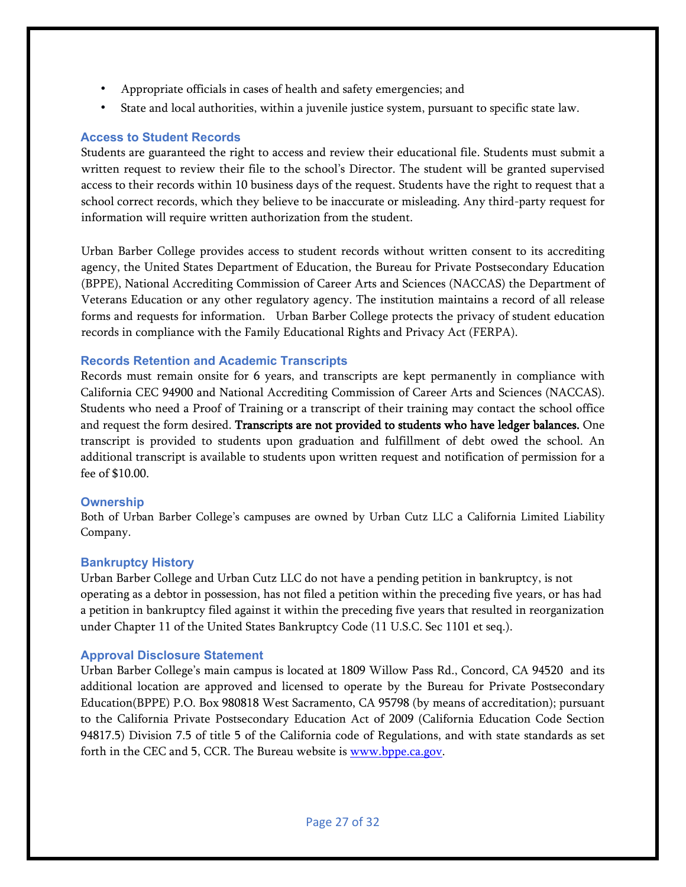- Appropriate officials in cases of health and safety emergencies; and
- State and local authorities, within a juvenile justice system, pursuant to specific state law.

## <span id="page-26-0"></span>**Access to Student Records**

Students are guaranteed the right to access and review their educational file. Students must submit a written request to review their file to the school's Director. The student will be granted supervised access to their records within 10 business days of the request. Students have the right to request that a school correct records, which they believe to be inaccurate or misleading. Any third-party request for information will require written authorization from the student.

Urban Barber College provides access to student records without written consent to its accrediting agency, the United States Department of Education, the Bureau for Private Postsecondary Education (BPPE), National Accrediting Commission of Career Arts and Sciences (NACCAS) the Department of Veterans Education or any other regulatory agency. The institution maintains a record of all release forms and requests for information. Urban Barber College protects the privacy of student education records in compliance with the Family Educational Rights and Privacy Act (FERPA).

# <span id="page-26-1"></span>**Records Retention and Academic Transcripts**

Records must remain onsite for 6 years, and transcripts are kept permanently in compliance with California CEC 94900 and National Accrediting Commission of Career Arts and Sciences (NACCAS). Students who need a Proof of Training or a transcript of their training may contact the school office and request the form desired. Transcripts are not provided to students who have ledger balances. One transcript is provided to students upon graduation and fulfillment of debt owed the school. An additional transcript is available to students upon written request and notification of permission for a fee of \$10.00.

#### <span id="page-26-2"></span>**Ownership**

Both of Urban Barber College's campuses are owned by Urban Cutz LLC a California Limited Liability Company.

#### <span id="page-26-3"></span>**Bankruptcy History**

Urban Barber College and Urban Cutz LLC do not have a pending petition in bankruptcy, is not operating as a debtor in possession, has not filed a petition within the preceding five years, or has had a petition in bankruptcy filed against it within the preceding five years that resulted in reorganization under Chapter 11 of the United States Bankruptcy Code (11 U.S.C. Sec 1101 et seq.).

#### <span id="page-26-4"></span>**Approval Disclosure Statement**

Urban Barber College's main campus is located at 1809 Willow Pass Rd., Concord, CA 94520 and its additional location are approved and licensed to operate by the Bureau for Private Postsecondary Education(BPPE) P.O. Box 980818 West Sacramento, CA 95798 (by means of accreditation); pursuant to the California Private Postsecondary Education Act of 2009 (California Education Code Section 94817.5) Division 7.5 of title 5 of the California code of Regulations, and with state standards as set forth in the CEC and 5, CCR. The Bureau website is **[www.bppe.ca.gov.](http://www.bppe.ca.gov/)**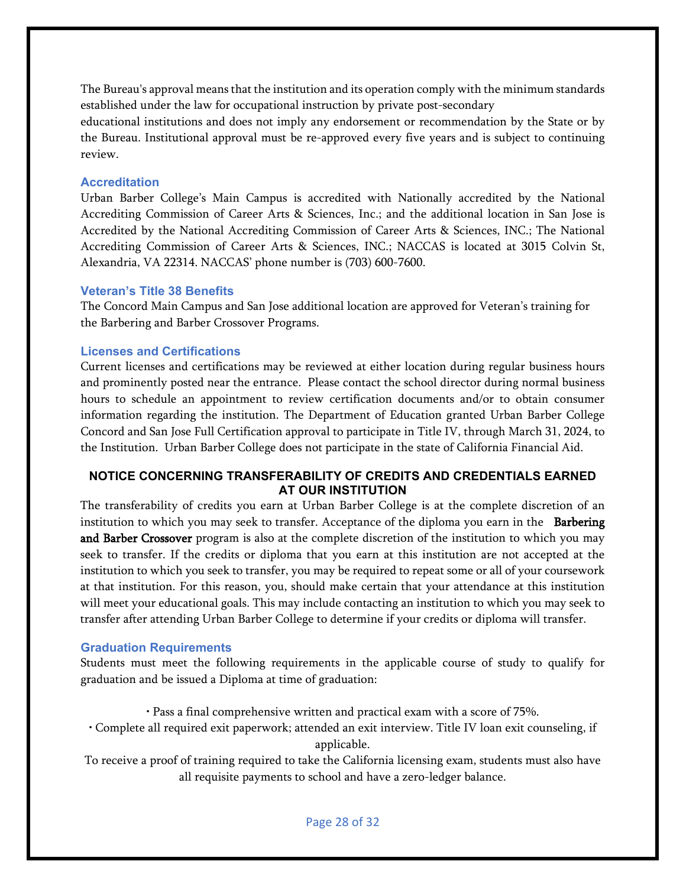The Bureau's approval means that the institution and its operation comply with the minimum standards established under the law for occupational instruction by private post-secondary

educational institutions and does not imply any endorsement or recommendation by the State or by the Bureau. Institutional approval must be re-approved every five years and is subject to continuing review.

## <span id="page-27-0"></span>**Accreditation**

Urban Barber College's Main Campus is accredited with Nationally accredited by the National Accrediting Commission of Career Arts & Sciences, Inc.; and the additional location in San Jose is Accredited by the National Accrediting Commission of Career Arts & Sciences, INC.; The National Accrediting Commission of Career Arts & Sciences, INC.; NACCAS is located at 3015 Colvin St, Alexandria, VA 22314. NACCAS' phone number is (703) 600-7600.

#### <span id="page-27-1"></span>**Veteran's Title 38 Benefits**

The Concord Main Campus and San Jose additional location are approved for Veteran's training for the Barbering and Barber Crossover Programs.

# <span id="page-27-2"></span>**Licenses and Certifications**

Current licenses and certifications may be reviewed at either location during regular business hours and prominently posted near the entrance. Please contact the school director during normal business hours to schedule an appointment to review certification documents and/or to obtain consumer information regarding the institution. The Department of Education granted Urban Barber College Concord and San Jose Full Certification approval to participate in Title IV, through March 31, 2024, to the Institution. Urban Barber College does not participate in the state of California Financial Aid.

# <span id="page-27-3"></span>**NOTICE CONCERNING TRANSFERABILITY OF CREDITS AND CREDENTIALS EARNED AT OUR INSTITUTION**

The transferability of credits you earn at Urban Barber College is at the complete discretion of an institution to which you may seek to transfer. Acceptance of the diploma you earn in the **Barbering** and Barber Crossover program is also at the complete discretion of the institution to which you may seek to transfer. If the credits or diploma that you earn at this institution are not accepted at the institution to which you seek to transfer, you may be required to repeat some or all of your coursework at that institution. For this reason, you, should make certain that your attendance at this institution will meet your educational goals. This may include contacting an institution to which you may seek to transfer after attending Urban Barber College to determine if your credits or diploma will transfer.

#### <span id="page-27-4"></span>**Graduation Requirements**

Students must meet the following requirements in the applicable course of study to qualify for graduation and be issued a Diploma at time of graduation:

- Pass a final comprehensive written and practical exam with a score of 75%.
- Complete all required exit paperwork; attended an exit interview. Title IV loan exit counseling, if applicable.

To receive a proof of training required to take the California licensing exam, students must also have all requisite payments to school and have a zero-ledger balance.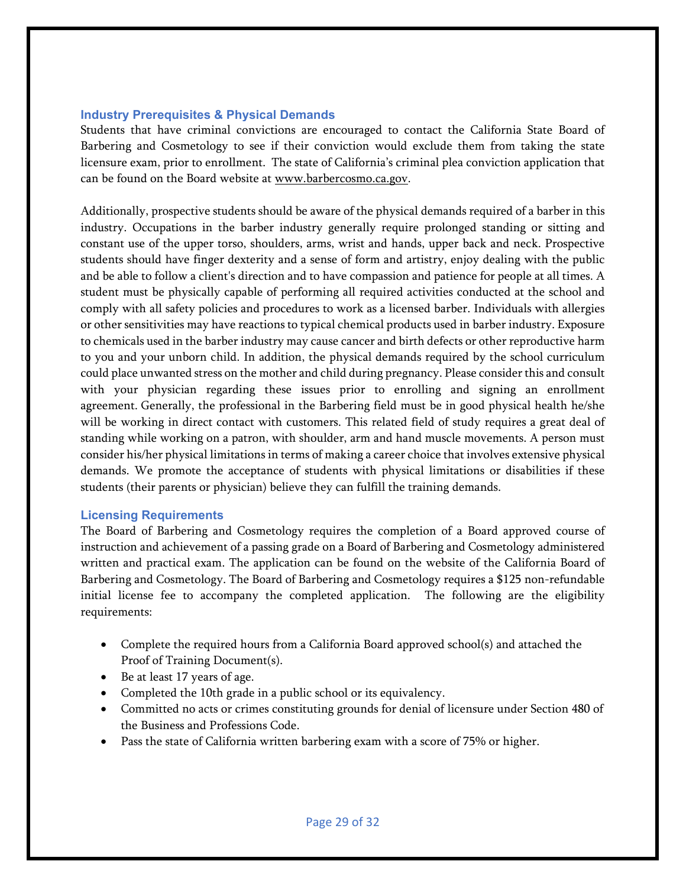#### <span id="page-28-0"></span>**Industry Prerequisites & Physical Demands**

Students that have criminal convictions are encouraged to contact the California State Board of Barbering and Cosmetology to see if their conviction would exclude them from taking the state licensure exam, prior to enrollment. The state of California's criminal plea conviction application that can be found on the Board website at [www.barbercosmo.ca.gov.](http://www.barbercosmo.ca.gov/)

Additionally, prospective students should be aware of the physical demands required of a barber in this industry. Occupations in the barber industry generally require prolonged standing or sitting and constant use of the upper torso, shoulders, arms, wrist and hands, upper back and neck. Prospective students should have finger dexterity and a sense of form and artistry, enjoy dealing with the public and be able to follow a client's direction and to have compassion and patience for people at all times. A student must be physically capable of performing all required activities conducted at the school and comply with all safety policies and procedures to work as a licensed barber. Individuals with allergies or other sensitivities may have reactions to typical chemical products used in barber industry. Exposure to chemicals used in the barber industry may cause cancer and birth defects or other reproductive harm to you and your unborn child. In addition, the physical demands required by the school curriculum could place unwanted stress on the mother and child during pregnancy. Please considerthis and consult with your physician regarding these issues prior to enrolling and signing an enrollment agreement. Generally, the professional in the Barbering field must be in good physical health he/she will be working in direct contact with customers. This related field of study requires a great deal of standing while working on a patron, with shoulder, arm and hand muscle movements. A person must consider his/her physical limitations in terms of making a career choice that involves extensive physical demands. We promote the acceptance of students with physical limitations or disabilities if these students (their parents or physician) believe they can fulfill the training demands.

#### <span id="page-28-1"></span>**Licensing Requirements**

The Board of Barbering and Cosmetology requires the completion of a Board approved course of instruction and achievement of a passing grade on a Board of Barbering and Cosmetology administered written and practical exam. The application can be found on the website of the California Board of Barbering and Cosmetology. The Board of Barbering and Cosmetology requires a \$125 non-refundable initial license fee to accompany the completed application. The following are the eligibility requirements:

- Complete the required hours from a California Board approved school(s) and attached the Proof of Training Document(s).
- Be at least 17 years of age.
- Completed the 10th grade in a public school or its equivalency.
- Committed no acts or crimes constituting grounds for denial of licensure under Section 480 of the Business and Professions Code.
- Pass the state of California written barbering exam with a score of 75% or higher.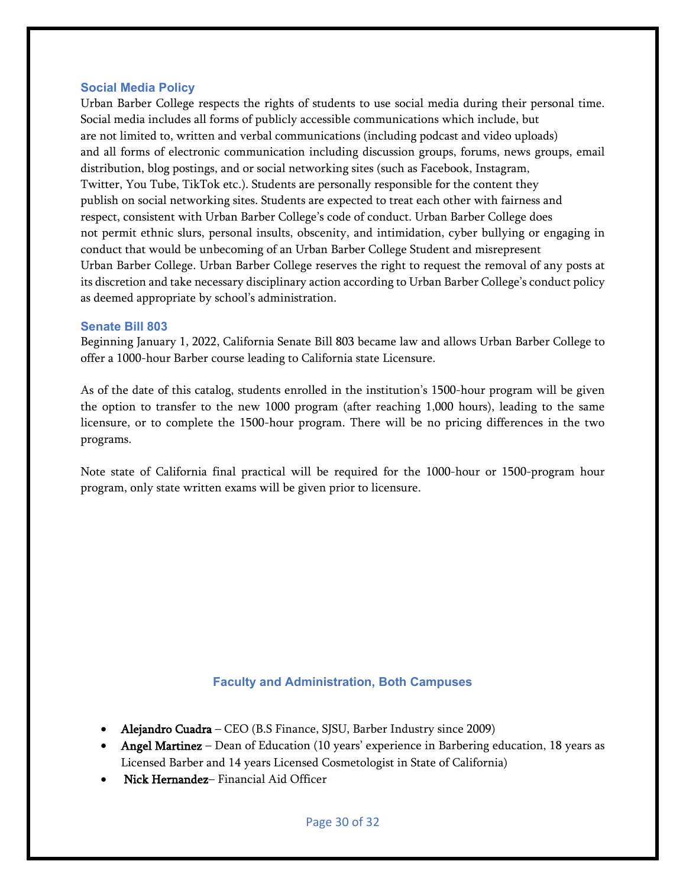#### <span id="page-29-0"></span>**Social Media Policy**

Urban Barber College respects the rights of students to use social media during their personal time. Social media includes all forms of publicly accessible communications which include, but are not limited to, written and verbal communications (including podcast and video uploads) and all forms of electronic communication including discussion groups, forums, news groups, email distribution, blog postings, and or social networking sites (such as Facebook, Instagram, Twitter, You Tube, TikTok etc.). Students are personally responsible for the content they publish on social networking sites. Students are expected to treat each other with fairness and respect, consistent with Urban Barber College's code of conduct. Urban Barber College does not permit ethnic slurs, personal insults, obscenity, and intimidation, cyber bullying or engaging in conduct that would be unbecoming of an Urban Barber College Student and misrepresent Urban Barber College. Urban Barber College reserves the right to request the removal of any posts at its discretion and take necessary disciplinary action according to Urban Barber College's conduct policy as deemed appropriate by school's administration.

#### <span id="page-29-1"></span>**Senate Bill 803**

Beginning January 1, 2022, California Senate Bill 803 became law and allows Urban Barber College to offer a 1000-hour Barber course leading to California state Licensure.

As of the date of this catalog, students enrolled in the institution's 1500-hour program will be given the option to transfer to the new 1000 program (after reaching 1,000 hours), leading to the same licensure, or to complete the 1500-hour program. There will be no pricing differences in the two programs.

Note state of California final practical will be required for the 1000-hour or 1500-program hour program, only state written exams will be given prior to licensure.

#### **Faculty and Administration, Both Campuses**

- <span id="page-29-2"></span>• Alejandro Cuadra – CEO (B.S Finance, SJSU, Barber Industry since 2009)
- Angel Martinez Dean of Education (10 years' experience in Barbering education, 18 years as Licensed Barber and 14 years Licensed Cosmetologist in State of California)
- Nick Hernandez– Financial Aid Officer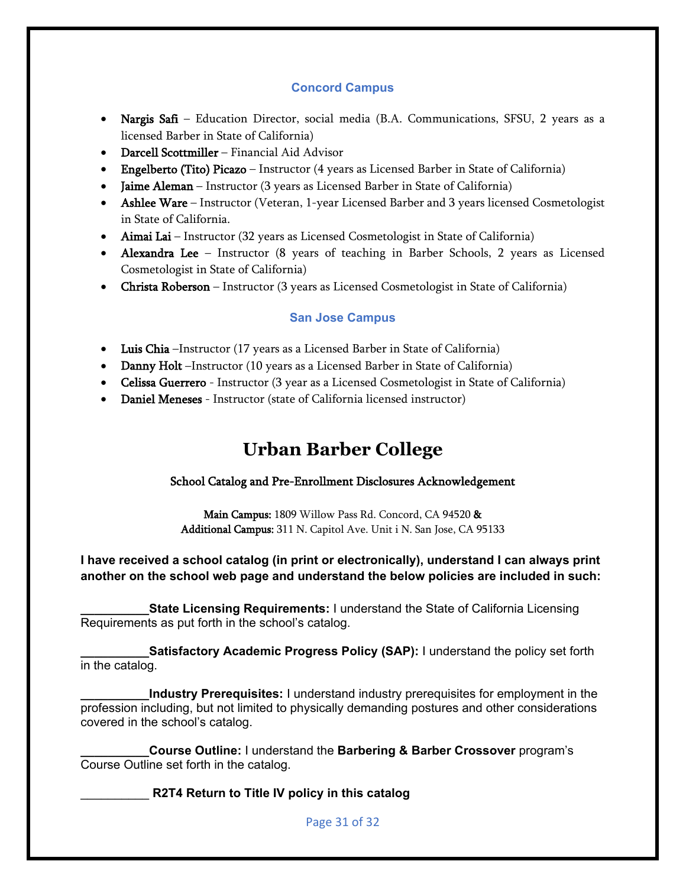# **Concord Campus**

- Nargis Safi Education Director, social media (B.A. Communications, SFSU, 2 years as a licensed Barber in State of California)
- Darcell Scottmiller Financial Aid Advisor
- Engelberto (Tito) Picazo Instructor (4 years as Licensed Barber in State of California)
- Jaime Aleman Instructor (3 years as Licensed Barber in State of California)
- Ashlee Ware Instructor (Veteran, 1-year Licensed Barber and 3 years licensed Cosmetologist in State of California.
- Aimai Lai Instructor (32 years as Licensed Cosmetologist in State of California)
- Alexandra Lee Instructor (8 years of teaching in Barber Schools, 2 years as Licensed Cosmetologist in State of California)
- Christa Roberson Instructor (3 years as Licensed Cosmetologist in State of California)

# **San Jose Campus**

- Luis Chia –Instructor (17 years as a Licensed Barber in State of California)
- Danny Holt –Instructor (10 years as a Licensed Barber in State of California)
- Celissa Guerrero Instructor (3 year as a Licensed Cosmetologist in State of California)
- <span id="page-30-0"></span>• Daniel Meneses - Instructor (state of California licensed instructor)

# **Urban Barber College**

# School Catalog and Pre-Enrollment Disclosures Acknowledgement

Main Campus: 1809 Willow Pass Rd. Concord, CA 94520 & Additional Campus: 311 N. Capitol Ave. Unit i N. San Jose, CA 95133

# **I have received a school catalog (in print or electronically), understand I can always print another on the school web page and understand the below policies are included in such:**

**State Licensing Requirements: I understand the State of California Licensing** Requirements as put forth in the school's catalog.

**Satisfactory Academic Progress Policy (SAP):** I understand the policy set forth in the catalog.

**\_\_\_\_\_\_\_\_\_\_Industry Prerequisites:** I understand industry prerequisites for employment in the profession including, but not limited to physically demanding postures and other considerations covered in the school's catalog.

**\_\_\_\_\_\_\_\_\_\_Course Outline:** I understand the **Barbering & Barber Crossover** program's Course Outline set forth in the catalog.

\_\_\_\_\_\_\_\_\_\_ **R2T4 Return to Title IV policy in this catalog**

Page 31 of 32